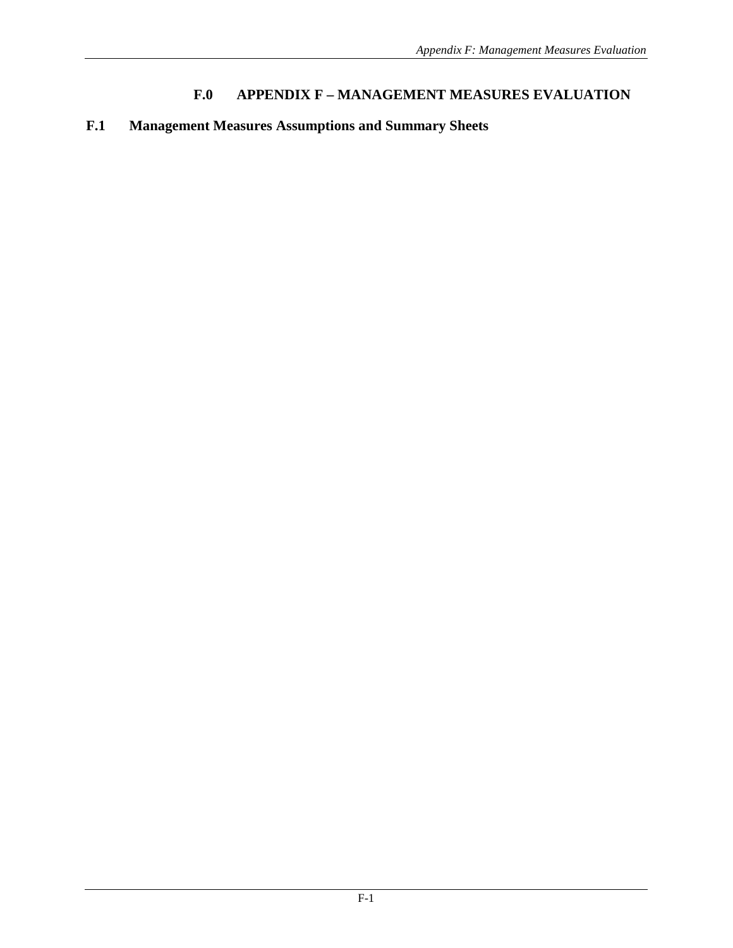## **F.0 APPENDIX F – MANAGEMENT MEASURES EVALUATION**

## **F.1 Management Measures Assumptions and Summary Sheets**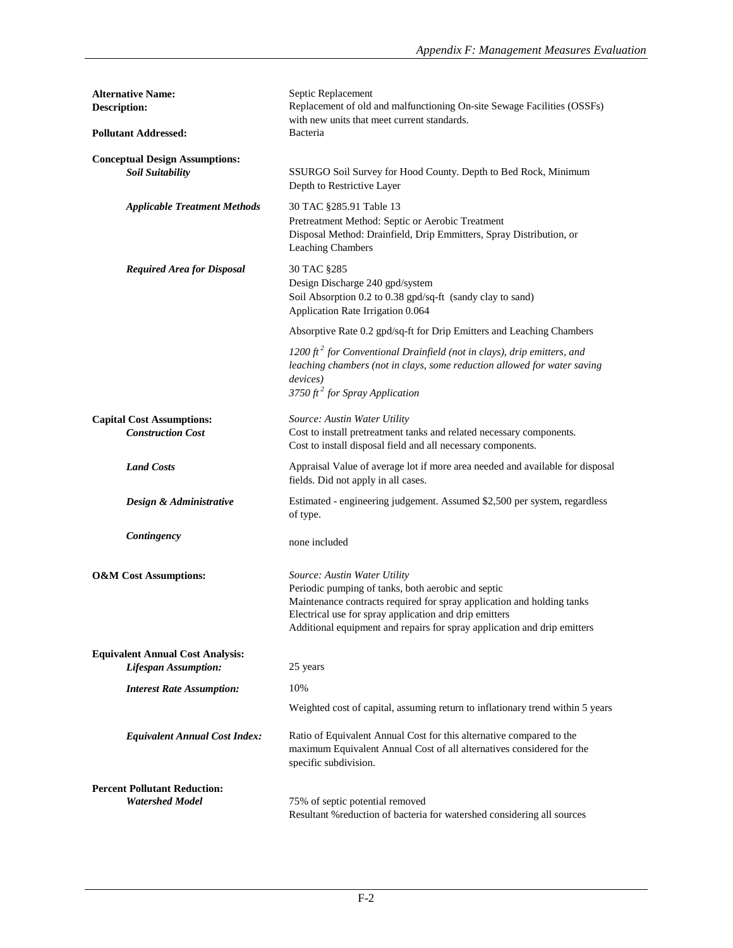| <b>Alternative Name:</b><br><b>Description:</b>                        | Septic Replacement<br>Replacement of old and malfunctioning On-site Sewage Facilities (OSSFs)<br>with new units that meet current standards.                                                                                                                                                       |  |
|------------------------------------------------------------------------|----------------------------------------------------------------------------------------------------------------------------------------------------------------------------------------------------------------------------------------------------------------------------------------------------|--|
| <b>Pollutant Addressed:</b>                                            | Bacteria                                                                                                                                                                                                                                                                                           |  |
| <b>Conceptual Design Assumptions:</b><br><b>Soil Suitability</b>       | SSURGO Soil Survey for Hood County. Depth to Bed Rock, Minimum<br>Depth to Restrictive Layer                                                                                                                                                                                                       |  |
| <b>Applicable Treatment Methods</b>                                    | 30 TAC §285.91 Table 13<br>Pretreatment Method: Septic or Aerobic Treatment<br>Disposal Method: Drainfield, Drip Emmitters, Spray Distribution, or<br><b>Leaching Chambers</b>                                                                                                                     |  |
| <b>Required Area for Disposal</b>                                      | 30 TAC §285<br>Design Discharge 240 gpd/system<br>Soil Absorption 0.2 to 0.38 gpd/sq-ft (sandy clay to sand)<br>Application Rate Irrigation 0.064                                                                                                                                                  |  |
|                                                                        | Absorptive Rate 0.2 gpd/sq-ft for Drip Emitters and Leaching Chambers                                                                                                                                                                                                                              |  |
|                                                                        | 1200 $ft^2$ for Conventional Drainfield (not in clays), drip emitters, and<br>leaching chambers (not in clays, some reduction allowed for water saving<br>devices)<br>3750 ft <sup>2</sup> for Spray Application                                                                                   |  |
| <b>Capital Cost Assumptions:</b><br><b>Construction Cost</b>           | Source: Austin Water Utility<br>Cost to install pretreatment tanks and related necessary components.<br>Cost to install disposal field and all necessary components.                                                                                                                               |  |
| <b>Land Costs</b>                                                      | Appraisal Value of average lot if more area needed and available for disposal<br>fields. Did not apply in all cases.                                                                                                                                                                               |  |
| Design & Administrative                                                | Estimated - engineering judgement. Assumed \$2,500 per system, regardless<br>of type.                                                                                                                                                                                                              |  |
| Contingency                                                            | none included                                                                                                                                                                                                                                                                                      |  |
| <b>O&amp;M</b> Cost Assumptions:                                       | Source: Austin Water Utility<br>Periodic pumping of tanks, both aerobic and septic<br>Maintenance contracts required for spray application and holding tanks<br>Electrical use for spray application and drip emitters<br>Additional equipment and repairs for spray application and drip emitters |  |
| <b>Equivalent Annual Cost Analysis:</b><br><b>Lifespan Assumption:</b> | 25 years                                                                                                                                                                                                                                                                                           |  |
| <b>Interest Rate Assumption:</b>                                       | 10%                                                                                                                                                                                                                                                                                                |  |
|                                                                        | Weighted cost of capital, assuming return to inflationary trend within 5 years                                                                                                                                                                                                                     |  |
| <b>Equivalent Annual Cost Index:</b>                                   | Ratio of Equivalent Annual Cost for this alternative compared to the<br>maximum Equivalent Annual Cost of all alternatives considered for the<br>specific subdivision.                                                                                                                             |  |
| <b>Percent Pollutant Reduction:</b>                                    |                                                                                                                                                                                                                                                                                                    |  |
| <b>Watershed Model</b>                                                 | 75% of septic potential removed<br>Resultant % reduction of bacteria for watershed considering all sources                                                                                                                                                                                         |  |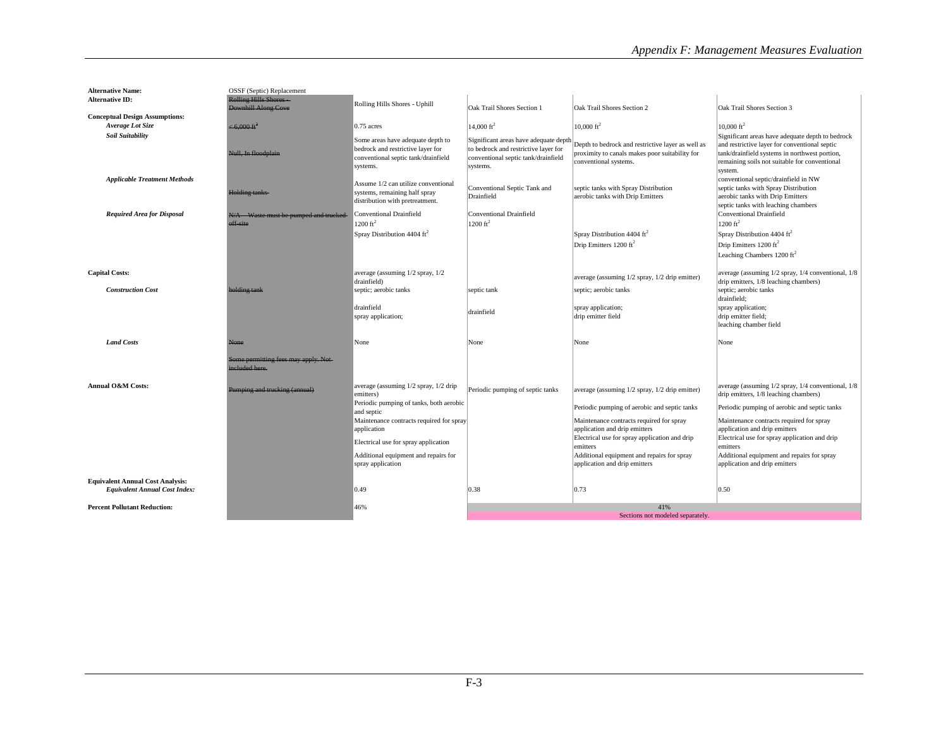| <b>Alternative Name:</b>                | OSSF (Septic) Replacement            |                                                                        |                                                                               |                                                   |                                                    |
|-----------------------------------------|--------------------------------------|------------------------------------------------------------------------|-------------------------------------------------------------------------------|---------------------------------------------------|----------------------------------------------------|
| <b>Alternative ID:</b>                  | <b>Rolling Hills Shores</b>          | Rolling Hills Shores - Uphill                                          |                                                                               |                                                   |                                                    |
|                                         | <b>Downhill Along Cove</b>           |                                                                        | Oak Trail Shores Section 1                                                    | Oak Trail Shores Section 2                        | Oak Trail Shores Section 3                         |
| <b>Conceptual Design Assumptions:</b>   |                                      |                                                                        |                                                                               |                                                   |                                                    |
| Average Lot Size                        | $\leq 6,000 \text{ ft}^2$            | $0.75$ acres                                                           | $14,000 \text{ ft}^2$                                                         | $10,000 \text{ ft}^2$                             | $10,000 \text{ ft}^2$                              |
| Soil Suitability                        |                                      |                                                                        |                                                                               |                                                   | Significant areas have adequate depth to bedrock   |
|                                         |                                      | Some areas have adequate depth to<br>bedrock and restrictive layer for | Significant areas have adequate depth<br>to bedrock and restrictive layer for | Depth to bedrock and restrictive layer as well as | and restrictive layer for conventional septic      |
|                                         | Null, In floodplain                  | conventional septic tank/drainfield                                    | conventional septic tank/drainfield                                           | proximity to canals makes poor suitability for    | tank/drainfield systems in northwest portion,      |
|                                         |                                      | systems.                                                               | systems.                                                                      | conventional systems.                             | remaining soils not suitable for conventional      |
|                                         |                                      |                                                                        |                                                                               |                                                   | system.                                            |
| <b>Applicable Treatment Methods</b>     |                                      | Assume 1/2 can utilize conventional                                    |                                                                               |                                                   | conventional septic/drainfield in NW               |
|                                         | <b>Holding tanks-</b>                | systems, remaining half spray                                          | Conventional Septic Tank and                                                  | septic tanks with Spray Distribution              | septic tanks with Spray Distribution               |
|                                         |                                      | distribution with pretreatment.                                        | Drainfield                                                                    | aerobic tanks with Drip Emitters                  | aerobic tanks with Drip Emitters                   |
|                                         |                                      |                                                                        |                                                                               |                                                   | septic tanks with leaching chambers                |
| <b>Required Area for Disposal</b>       | N/A Waste must be pumped and trucked | Conventional Drainfield                                                | Conventional Drainfield                                                       |                                                   | Conventional Drainfield                            |
|                                         | off site                             | $1200 \text{ ft}^2$                                                    | $1200 \text{ ft}^2$                                                           |                                                   | $1200 \text{ ft}^2$                                |
|                                         |                                      | Spray Distribution 4404 $\text{ft}^2$                                  |                                                                               | Spray Distribution 4404 $\text{ft}^2$             | Spray Distribution 4404 ft <sup>2</sup>            |
|                                         |                                      |                                                                        |                                                                               | Drip Emitters 1200 ft <sup>2</sup>                | Drip Emitters $1200 \text{ ft}^2$                  |
|                                         |                                      |                                                                        |                                                                               |                                                   | Leaching Chambers 1200 ft <sup>2</sup>             |
|                                         |                                      |                                                                        |                                                                               |                                                   |                                                    |
| <b>Capital Costs:</b>                   |                                      | average (assuming 1/2 spray, 1/2                                       |                                                                               |                                                   | average (assuming 1/2 spray, 1/4 conventional, 1/8 |
|                                         |                                      | drainfield)                                                            |                                                                               | average (assuming 1/2 spray, 1/2 drip emitter)    | drip emitters, 1/8 leaching chambers)              |
| <b>Construction Cost</b>                | holding tank                         | septic; aerobic tanks                                                  | septic tank                                                                   | septic; aerobic tanks                             | septic; aerobic tanks                              |
|                                         |                                      |                                                                        |                                                                               |                                                   | drainfield;                                        |
|                                         |                                      | drainfield                                                             | drainfield                                                                    | spray application;                                | spray application;                                 |
|                                         |                                      | spray application;                                                     |                                                                               | drip emitter field                                | drip emitter field;                                |
|                                         |                                      |                                                                        |                                                                               |                                                   | leaching chamber field                             |
|                                         |                                      |                                                                        |                                                                               |                                                   |                                                    |
| <b>Land Costs</b>                       | None                                 | None                                                                   | None                                                                          | None                                              | None                                               |
|                                         | Some permitting fees may apply. Not- |                                                                        |                                                                               |                                                   |                                                    |
|                                         | acluded here.                        |                                                                        |                                                                               |                                                   |                                                    |
|                                         |                                      |                                                                        |                                                                               |                                                   |                                                    |
| Annual O&M Costs:                       |                                      | average (assuming 1/2 spray, 1/2 drip                                  |                                                                               |                                                   | average (assuming 1/2 spray, 1/4 conventional, 1/8 |
|                                         | Pumping and trucking (annual)        | emitters)                                                              | Periodic pumping of septic tanks                                              | average (assuming 1/2 spray, 1/2 drip emitter)    | drip emitters, 1/8 leaching chambers)              |
|                                         |                                      | Periodic pumping of tanks, both aerobic                                |                                                                               |                                                   |                                                    |
|                                         |                                      | and septic                                                             |                                                                               | Periodic pumping of aerobic and septic tanks      | Periodic pumping of aerobic and septic tanks       |
|                                         |                                      | Maintenance contracts required for spray                               |                                                                               | Maintenance contracts required for spray          | Maintenance contracts required for spray           |
|                                         |                                      | application                                                            |                                                                               | application and drip emitters                     | application and drip emitters                      |
|                                         |                                      | Electrical use for spray application                                   |                                                                               | Electrical use for spray application and drip     | Electrical use for spray application and drip      |
|                                         |                                      |                                                                        |                                                                               | emitters                                          | emitters                                           |
|                                         |                                      | Additional equipment and repairs for                                   |                                                                               | Additional equipment and repairs for spray        | Additional equipment and repairs for spray         |
|                                         |                                      | spray application                                                      |                                                                               | application and drip emitters                     | application and drip emitters                      |
| <b>Equivalent Annual Cost Analysis:</b> |                                      |                                                                        |                                                                               |                                                   |                                                    |
| <b>Equivalent Annual Cost Index:</b>    |                                      | 0.49                                                                   | 0.38                                                                          | 0.73                                              | 0.50                                               |
|                                         |                                      |                                                                        |                                                                               |                                                   |                                                    |
| <b>Percent Pollutant Reduction:</b>     |                                      | 46%                                                                    |                                                                               | 41%                                               |                                                    |
|                                         |                                      |                                                                        | Sections not modeled separately.                                              |                                                   |                                                    |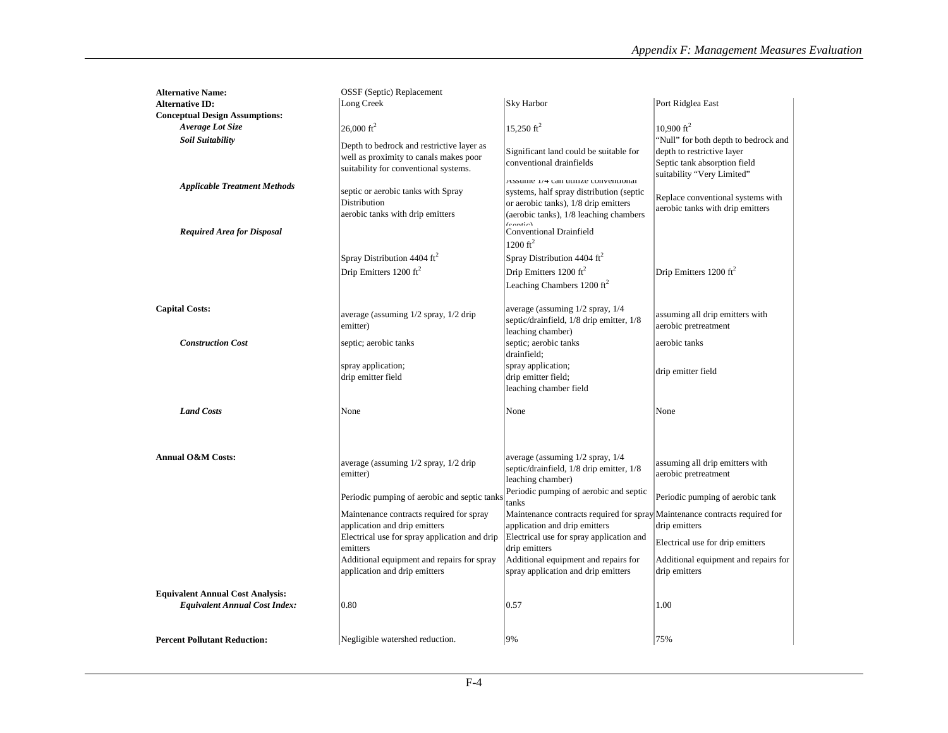| <b>Alternative Name:</b>                | OSSF (Septic) Replacement                     |                                                                             |                                       |
|-----------------------------------------|-----------------------------------------------|-----------------------------------------------------------------------------|---------------------------------------|
| <b>Alternative ID:</b>                  | Long Creek                                    | Sky Harbor                                                                  | Port Ridglea East                     |
| <b>Conceptual Design Assumptions:</b>   |                                               |                                                                             |                                       |
| Average Lot Size                        | $26,000 \text{ ft}^2$                         | 15,250 $ft^2$                                                               | 10,900 $\rm ft^2$                     |
| <b>Soil Suitability</b>                 |                                               |                                                                             | 'Null'' for both depth to bedrock and |
|                                         | Depth to bedrock and restrictive layer as     | Significant land could be suitable for                                      | depth to restrictive layer            |
|                                         | well as proximity to canals makes poor        | conventional drainfields                                                    | Septic tank absorption field          |
|                                         | suitability for conventional systems.         |                                                                             | suitability "Very Limited"            |
| <b>Applicable Treatment Methods</b>     |                                               | Assume 1/4 can utilize conventional                                         |                                       |
|                                         | septic or aerobic tanks with Spray            | systems, half spray distribution (septic                                    | Replace conventional systems with     |
|                                         | Distribution                                  | or aerobic tanks), 1/8 drip emitters                                        | aerobic tanks with drip emitters      |
|                                         | aerobic tanks with drip emitters              | (aerobic tanks), 1/8 leaching chambers<br>$($ cantia)                       |                                       |
| <b>Required Area for Disposal</b>       |                                               | <b>Conventional Drainfield</b>                                              |                                       |
|                                         |                                               | $1200 \text{ ft}^2$                                                         |                                       |
|                                         | Spray Distribution 4404 ft <sup>2</sup>       | Spray Distribution 4404 $\text{ft}^2$                                       |                                       |
|                                         | Drip Emitters 1200 ft <sup>2</sup>            | Drip Emitters 1200 ft <sup>2</sup>                                          | Drip Emitters 1200 ft <sup>2</sup>    |
|                                         |                                               | Leaching Chambers 1200 ft <sup>2</sup>                                      |                                       |
|                                         |                                               |                                                                             |                                       |
| <b>Capital Costs:</b>                   |                                               | average (assuming 1/2 spray, 1/4                                            |                                       |
|                                         | average (assuming $1/2$ spray, $1/2$ drip     | septic/drainfield, 1/8 drip emitter, 1/8                                    | assuming all drip emitters with       |
|                                         | emitter)                                      | leaching chamber)                                                           | aerobic pretreatment                  |
| <b>Construction Cost</b>                | septic; aerobic tanks                         | septic; aerobic tanks                                                       | aerobic tanks                         |
|                                         |                                               | drainfield;                                                                 |                                       |
|                                         | spray application;                            | spray application;                                                          |                                       |
|                                         | drip emitter field                            | drip emitter field;                                                         | drip emitter field                    |
|                                         |                                               | leaching chamber field                                                      |                                       |
|                                         |                                               |                                                                             |                                       |
| <b>Land Costs</b>                       | None                                          | None                                                                        | None                                  |
|                                         |                                               |                                                                             |                                       |
|                                         |                                               |                                                                             |                                       |
|                                         |                                               |                                                                             |                                       |
| <b>Annual O&amp;M Costs:</b>            | average (assuming 1/2 spray, 1/2 drip         | average (assuming $1/2$ spray, $1/4$                                        | assuming all drip emitters with       |
|                                         | emitter)                                      | septic/drainfield, 1/8 drip emitter, 1/8                                    | aerobic pretreatment                  |
|                                         |                                               | leaching chamber)                                                           |                                       |
|                                         | Periodic pumping of aerobic and septic tanks  | Periodic pumping of aerobic and septic                                      | Periodic pumping of aerobic tank      |
|                                         |                                               | tanks                                                                       |                                       |
|                                         | Maintenance contracts required for spray      | Maintenance contracts required for spray Maintenance contracts required for |                                       |
|                                         | application and drip emitters                 | application and drip emitters                                               | drip emitters                         |
|                                         | Electrical use for spray application and drip | Electrical use for spray application and                                    | Electrical use for drip emitters      |
|                                         | emitters                                      | drip emitters                                                               |                                       |
|                                         | Additional equipment and repairs for spray    | Additional equipment and repairs for                                        | Additional equipment and repairs for  |
|                                         | application and drip emitters                 | spray application and drip emitters                                         | drip emitters                         |
| <b>Equivalent Annual Cost Analysis:</b> |                                               |                                                                             |                                       |
| <b>Equivalent Annual Cost Index:</b>    | 0.80                                          | 0.57                                                                        | 1.00                                  |
|                                         |                                               |                                                                             |                                       |
|                                         |                                               |                                                                             |                                       |
| <b>Percent Pollutant Reduction:</b>     | Negligible watershed reduction.               | 9%                                                                          | 75%                                   |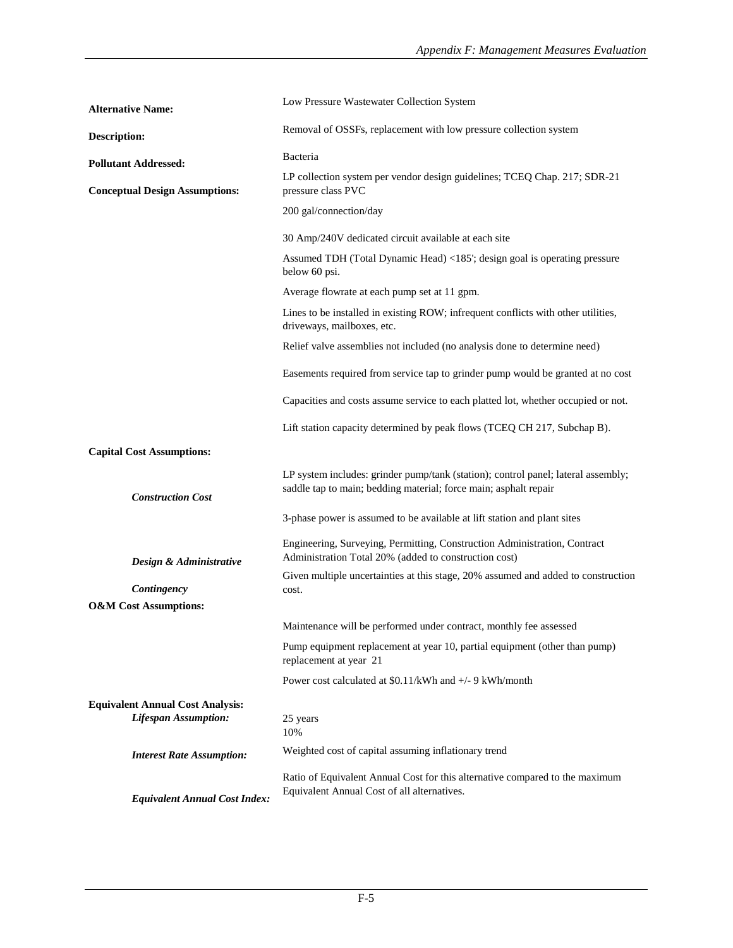| <b>Alternative Name:</b>                                               | Low Pressure Wastewater Collection System                                                                                                             |
|------------------------------------------------------------------------|-------------------------------------------------------------------------------------------------------------------------------------------------------|
| <b>Description:</b>                                                    | Removal of OSSFs, replacement with low pressure collection system                                                                                     |
| <b>Pollutant Addressed:</b>                                            | Bacteria                                                                                                                                              |
| <b>Conceptual Design Assumptions:</b>                                  | LP collection system per vendor design guidelines; TCEQ Chap. 217; SDR-21<br>pressure class PVC                                                       |
|                                                                        | 200 gal/connection/day                                                                                                                                |
|                                                                        | 30 Amp/240V dedicated circuit available at each site                                                                                                  |
|                                                                        | Assumed TDH (Total Dynamic Head) <185'; design goal is operating pressure<br>below 60 psi.                                                            |
|                                                                        | Average flowrate at each pump set at 11 gpm.                                                                                                          |
|                                                                        | Lines to be installed in existing ROW; infrequent conflicts with other utilities,<br>driveways, mailboxes, etc.                                       |
|                                                                        | Relief valve assemblies not included (no analysis done to determine need)                                                                             |
|                                                                        | Easements required from service tap to grinder pump would be granted at no cost                                                                       |
|                                                                        | Capacities and costs assume service to each platted lot, whether occupied or not.                                                                     |
|                                                                        | Lift station capacity determined by peak flows (TCEQ CH 217, Subchap B).                                                                              |
| <b>Capital Cost Assumptions:</b>                                       |                                                                                                                                                       |
| <b>Construction Cost</b>                                               | LP system includes: grinder pump/tank (station); control panel; lateral assembly;<br>saddle tap to main; bedding material; force main; asphalt repair |
|                                                                        | 3-phase power is assumed to be available at lift station and plant sites                                                                              |
| Design & Administrative                                                | Engineering, Surveying, Permitting, Construction Administration, Contract<br>Administration Total 20% (added to construction cost)                    |
| Contingency                                                            | Given multiple uncertainties at this stage, 20% assumed and added to construction<br>cost.                                                            |
| <b>O&amp;M</b> Cost Assumptions:                                       |                                                                                                                                                       |
|                                                                        | Maintenance will be performed under contract, monthly fee assessed                                                                                    |
|                                                                        | Pump equipment replacement at year 10, partial equipment (other than pump)<br>replacement at year 21                                                  |
|                                                                        | Power cost calculated at \$0.11/kWh and +/- 9 kWh/month                                                                                               |
| <b>Equivalent Annual Cost Analysis:</b><br><b>Lifespan Assumption:</b> | 25 years<br>10%                                                                                                                                       |
| <b>Interest Rate Assumption:</b>                                       | Weighted cost of capital assuming inflationary trend                                                                                                  |
| <b>Equivalent Annual Cost Index:</b>                                   | Ratio of Equivalent Annual Cost for this alternative compared to the maximum<br>Equivalent Annual Cost of all alternatives.                           |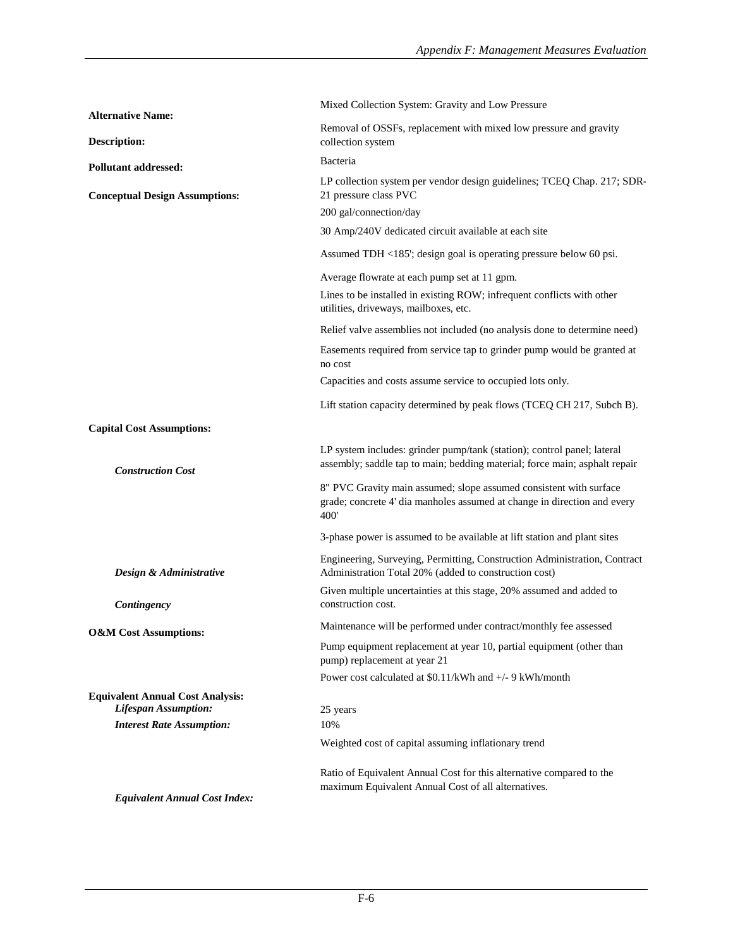| <b>Alternative Name:</b>                                               | Mixed Collection System: Gravity and Low Pressure                                                                                                      |
|------------------------------------------------------------------------|--------------------------------------------------------------------------------------------------------------------------------------------------------|
| <b>Description:</b>                                                    | Removal of OSSFs, replacement with mixed low pressure and gravity<br>collection system                                                                 |
| <b>Pollutant addressed:</b>                                            | Bacteria                                                                                                                                               |
| <b>Conceptual Design Assumptions:</b>                                  | LP collection system per vendor design guidelines; TCEQ Chap. 217; SDR-<br>21 pressure class PVC<br>200 gal/connection/day                             |
|                                                                        | 30 Amp/240V dedicated circuit available at each site                                                                                                   |
|                                                                        | Assumed TDH <185'; design goal is operating pressure below 60 psi.                                                                                     |
|                                                                        | Average flowrate at each pump set at 11 gpm.                                                                                                           |
|                                                                        | Lines to be installed in existing ROW; infrequent conflicts with other<br>utilities, driveways, mailboxes, etc.                                        |
|                                                                        | Relief valve assemblies not included (no analysis done to determine need)                                                                              |
|                                                                        | Easements required from service tap to grinder pump would be granted at<br>no cost                                                                     |
|                                                                        | Capacities and costs assume service to occupied lots only.                                                                                             |
|                                                                        | Lift station capacity determined by peak flows (TCEQ CH 217, Subch B).                                                                                 |
| <b>Capital Cost Assumptions:</b>                                       |                                                                                                                                                        |
| <b>Construction Cost</b>                                               | LP system includes: grinder pump/tank (station); control panel; lateral<br>assembly; saddle tap to main; bedding material; force main; asphalt repair  |
|                                                                        | 8" PVC Gravity main assumed; slope assumed consistent with surface<br>grade; concrete 4' dia manholes assumed at change in direction and every<br>400' |
|                                                                        | 3-phase power is assumed to be available at lift station and plant sites                                                                               |
| Design & Administrative                                                | Engineering, Surveying, Permitting, Construction Administration, Contract<br>Administration Total 20% (added to construction cost)                     |
| Contingency                                                            | Given multiple uncertainties at this stage, 20% assumed and added to<br>construction cost.                                                             |
| <b>O&amp;M</b> Cost Assumptions:                                       | Maintenance will be performed under contract/monthly fee assessed                                                                                      |
|                                                                        | Pump equipment replacement at year 10, partial equipment (other than<br>pump) replacement at year 21                                                   |
|                                                                        | Power cost calculated at \$0.11/kWh and +/- 9 kWh/month                                                                                                |
| <b>Equivalent Annual Cost Analysis:</b><br><b>Lifespan Assumption:</b> | 25 years                                                                                                                                               |
| <b>Interest Rate Assumption:</b>                                       | 10%<br>Weighted cost of capital assuming inflationary trend                                                                                            |
|                                                                        |                                                                                                                                                        |
| <b>Equivalent Annual Cost Index:</b>                                   | Ratio of Equivalent Annual Cost for this alternative compared to the<br>maximum Equivalent Annual Cost of all alternatives.                            |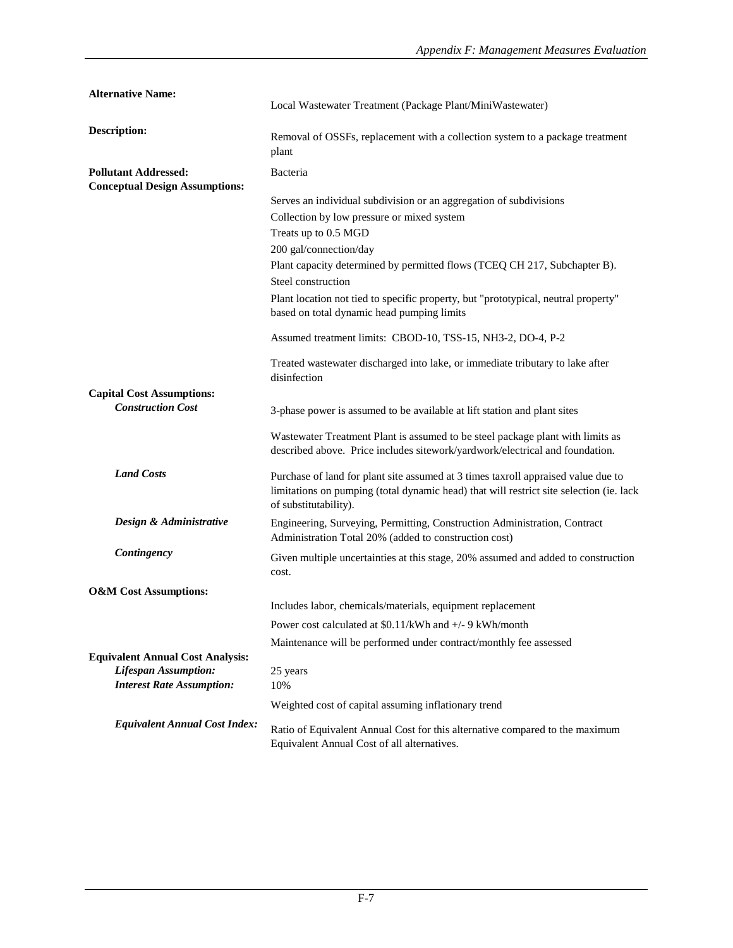| <b>Alternative Name:</b>                                             | Local Wastewater Treatment (Package Plant/MiniWastewater)                                                                                                                                             |
|----------------------------------------------------------------------|-------------------------------------------------------------------------------------------------------------------------------------------------------------------------------------------------------|
| Description:                                                         | Removal of OSSFs, replacement with a collection system to a package treatment<br>plant                                                                                                                |
| <b>Pollutant Addressed:</b><br><b>Conceptual Design Assumptions:</b> | Bacteria                                                                                                                                                                                              |
|                                                                      | Serves an individual subdivision or an aggregation of subdivisions                                                                                                                                    |
|                                                                      | Collection by low pressure or mixed system                                                                                                                                                            |
|                                                                      | Treats up to 0.5 MGD                                                                                                                                                                                  |
|                                                                      | 200 gal/connection/day                                                                                                                                                                                |
|                                                                      | Plant capacity determined by permitted flows (TCEQ CH 217, Subchapter B).                                                                                                                             |
|                                                                      | Steel construction                                                                                                                                                                                    |
|                                                                      | Plant location not tied to specific property, but "prototypical, neutral property"<br>based on total dynamic head pumping limits                                                                      |
|                                                                      | Assumed treatment limits: CBOD-10, TSS-15, NH3-2, DO-4, P-2                                                                                                                                           |
|                                                                      | Treated wastewater discharged into lake, or immediate tributary to lake after<br>disinfection                                                                                                         |
| <b>Capital Cost Assumptions:</b>                                     |                                                                                                                                                                                                       |
| <b>Construction Cost</b>                                             | 3-phase power is assumed to be available at lift station and plant sites                                                                                                                              |
|                                                                      | Wastewater Treatment Plant is assumed to be steel package plant with limits as<br>described above. Price includes sitework/yardwork/electrical and foundation.                                        |
| <b>Land Costs</b>                                                    | Purchase of land for plant site assumed at 3 times taxroll appraised value due to<br>limitations on pumping (total dynamic head) that will restrict site selection (ie. lack<br>of substitutability). |
| Design & Administrative                                              | Engineering, Surveying, Permitting, Construction Administration, Contract<br>Administration Total 20% (added to construction cost)                                                                    |
| Contingency                                                          | Given multiple uncertainties at this stage, 20% assumed and added to construction<br>cost.                                                                                                            |
| <b>O&amp;M</b> Cost Assumptions:                                     |                                                                                                                                                                                                       |
|                                                                      | Includes labor, chemicals/materials, equipment replacement                                                                                                                                            |
|                                                                      | Power cost calculated at \$0.11/kWh and +/- 9 kWh/month                                                                                                                                               |
|                                                                      | Maintenance will be performed under contract/monthly fee assessed                                                                                                                                     |
| <b>Equivalent Annual Cost Analysis:</b>                              |                                                                                                                                                                                                       |
| <b>Lifespan Assumption:</b>                                          | 25 years                                                                                                                                                                                              |
| <b>Interest Rate Assumption:</b>                                     | 10%                                                                                                                                                                                                   |
|                                                                      | Weighted cost of capital assuming inflationary trend                                                                                                                                                  |
| <b>Equivalent Annual Cost Index:</b>                                 | Ratio of Equivalent Annual Cost for this alternative compared to the maximum<br>Equivalent Annual Cost of all alternatives.                                                                           |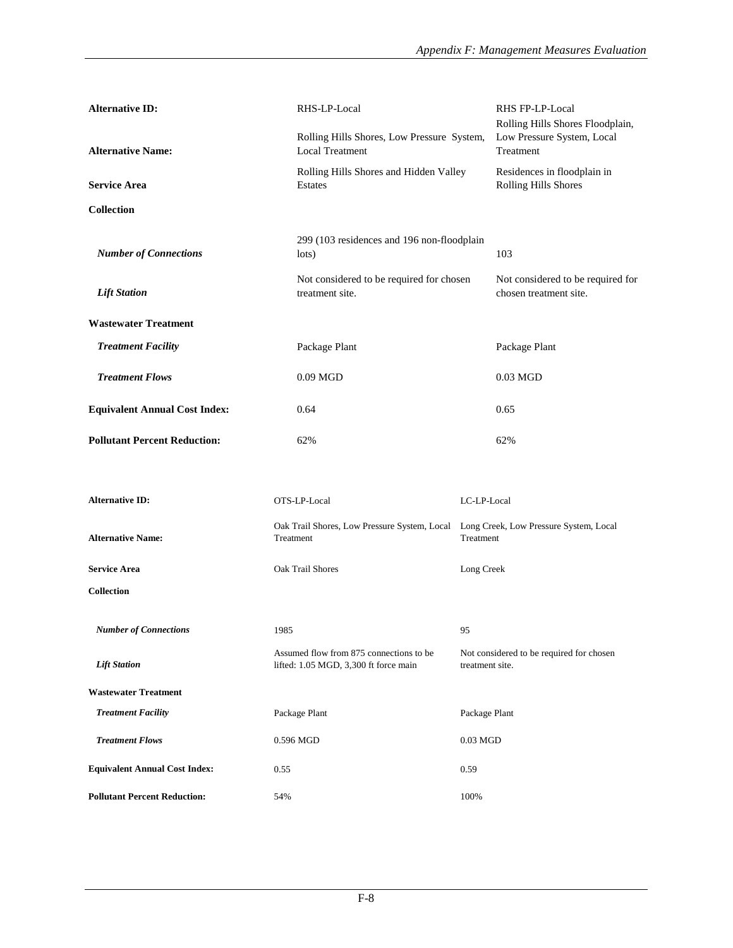| <b>Alternative ID:</b>               | RHS-LP-Local                                                                     | RHS FP-LP-Local<br>Rolling Hills Shores Floodplain,         |
|--------------------------------------|----------------------------------------------------------------------------------|-------------------------------------------------------------|
| <b>Alternative Name:</b>             | Rolling Hills Shores, Low Pressure System,<br><b>Local Treatment</b>             | Low Pressure System, Local<br>Treatment                     |
| <b>Service Area</b>                  | Rolling Hills Shores and Hidden Valley<br>Estates                                | Residences in floodplain in<br>Rolling Hills Shores         |
| <b>Collection</b>                    |                                                                                  |                                                             |
| <b>Number of Connections</b>         | 299 (103 residences and 196 non-floodplain<br>lots)                              | 103                                                         |
| <b>Lift Station</b>                  | Not considered to be required for chosen<br>treatment site.                      | Not considered to be required for<br>chosen treatment site. |
| <b>Wastewater Treatment</b>          |                                                                                  |                                                             |
| <b>Treatment Facility</b>            | Package Plant                                                                    | Package Plant                                               |
| <b>Treatment Flows</b>               | $0.09$ MGD                                                                       | $0.03$ MGD                                                  |
| <b>Equivalent Annual Cost Index:</b> | 0.64                                                                             | 0.65                                                        |
| <b>Pollutant Percent Reduction:</b>  | 62%                                                                              | 62%                                                         |
|                                      |                                                                                  |                                                             |
| <b>Alternative ID:</b>               | OTS-LP-Local                                                                     | LC-LP-Local                                                 |
| <b>Alternative Name:</b>             | Oak Trail Shores, Low Pressure System, Local<br>Treatment                        | Long Creek, Low Pressure System, Local<br>Treatment         |
| <b>Service Area</b>                  | Oak Trail Shores                                                                 | Long Creek                                                  |
| <b>Collection</b>                    |                                                                                  |                                                             |
| <b>Number of Connections</b>         | 1985                                                                             | 95                                                          |
| <b>Lift Station</b>                  | Assumed flow from 875 connections to be<br>lifted: 1.05 MGD, 3,300 ft force main | Not considered to be required for chosen<br>treatment site. |
| <b>Wastewater Treatment</b>          |                                                                                  |                                                             |
| <b>Treatment Facility</b>            | Package Plant                                                                    | Package Plant                                               |
| <b>Treatment Flows</b>               | 0.596 MGD                                                                        | $0.03$ MGD                                                  |
| <b>Equivalent Annual Cost Index:</b> | 0.55                                                                             | 0.59                                                        |
| <b>Pollutant Percent Reduction:</b>  | 54%                                                                              | 100%                                                        |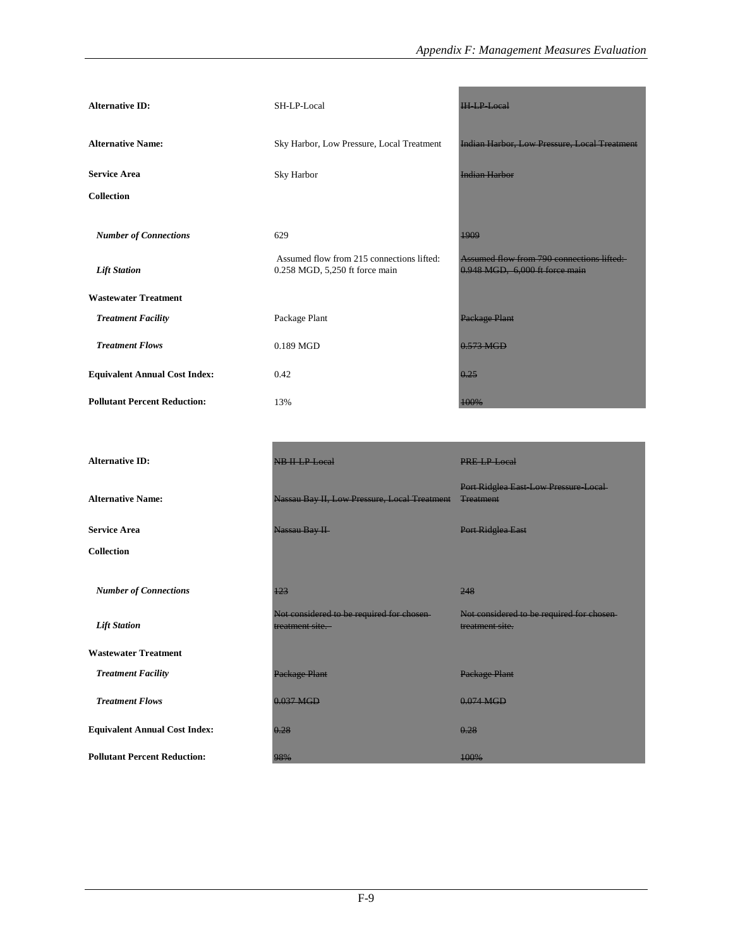| <b>Alternative ID:</b>               | SH-LP-Local                                      | <b>HHP</b> Local                                    |  |
|--------------------------------------|--------------------------------------------------|-----------------------------------------------------|--|
| <b>Alternative Name:</b>             | Sky Harbor, Low Pressure, Local Treatment        | <b>Indian Harbor, Low Pressure, Local Treatment</b> |  |
| <b>Service Area</b>                  | Sky Harbor                                       | <b>Indian Harbor</b>                                |  |
| <b>Collection</b>                    |                                                  |                                                     |  |
| <b>Number of Connections</b>         | 629<br>Assumed flow from 215 connections lifted: | 1909<br>Assumed flow from 790 connections lifted:   |  |
| <b>Lift Station</b>                  | 0.258 MGD, 5,250 ft force main                   | 0.948 MGD, 6,000 ft force main                      |  |
| <b>Wastewater Treatment</b>          |                                                  |                                                     |  |
| <b>Treatment Facility</b>            | Package Plant                                    | Package Plant                                       |  |
| <b>Treatment Flows</b>               | 0.189 MGD                                        | $0.573$ MGD                                         |  |
| <b>Equivalent Annual Cost Index:</b> | 0.42                                             | 0.25                                                |  |
| <b>Pollutant Percent Reduction:</b>  | 13%                                              | 100%                                                |  |

| <b>Alternative ID:</b>               | NB H-LP-Local                                                | PRE-LP-Local                                                 |
|--------------------------------------|--------------------------------------------------------------|--------------------------------------------------------------|
| <b>Alternative Name:</b>             | Nassau Bay II, Low Pressure, Local Treatment                 | Port Ridglea East-Low Pressure-Local-<br><b>Treatment</b>    |
| <b>Service Area</b>                  | Nassau Bay II                                                | Port Ridglea East                                            |
| <b>Collection</b>                    |                                                              |                                                              |
| <b>Number of Connections</b>         | 123                                                          | 248                                                          |
| <b>Lift Station</b>                  | Not considered to be required for chosen-<br>treatment site. | Not considered to be required for chosen-<br>treatment site. |
| <b>Wastewater Treatment</b>          |                                                              |                                                              |
| <b>Treatment Facility</b>            | Package Plant                                                | Package Plant                                                |
| <b>Treatment Flows</b>               | 0.037 MGD                                                    | $0.074$ MGD                                                  |
| <b>Equivalent Annual Cost Index:</b> | 0.28                                                         | 0.28                                                         |
| <b>Pollutant Percent Reduction:</b>  | 98%                                                          | 100%                                                         |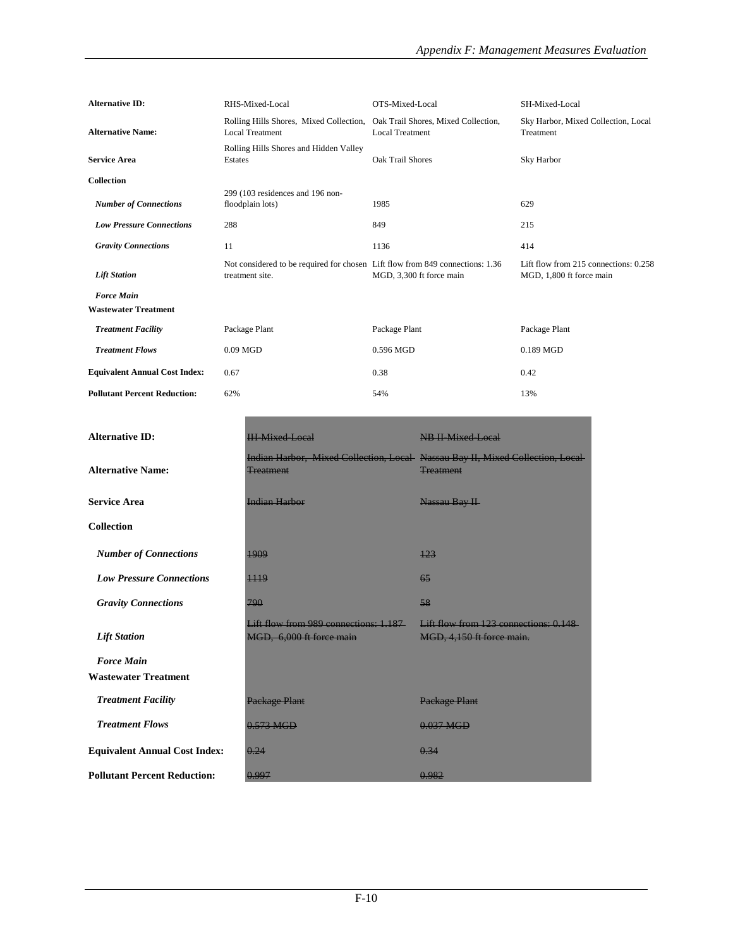| <b>Alternative ID:</b>                           | RHS-Mixed-Local                                                                                  | OTS-Mixed-Local                                               | SH-Mixed-Local                                                    |
|--------------------------------------------------|--------------------------------------------------------------------------------------------------|---------------------------------------------------------------|-------------------------------------------------------------------|
| <b>Alternative Name:</b>                         | Rolling Hills Shores, Mixed Collection,<br><b>Local Treatment</b>                                | Oak Trail Shores, Mixed Collection,<br><b>Local Treatment</b> | Sky Harbor, Mixed Collection, Local<br>Treatment                  |
| <b>Service Area</b>                              | Rolling Hills Shores and Hidden Valley<br>Estates                                                | Oak Trail Shores                                              | Sky Harbor                                                        |
| <b>Collection</b>                                |                                                                                                  |                                                               |                                                                   |
| <b>Number of Connections</b>                     | 299 (103 residences and 196 non-<br>floodplain lots)                                             | 1985                                                          | 629                                                               |
| <b>Low Pressure Connections</b>                  | 288                                                                                              | 849                                                           | 215                                                               |
| <b>Gravity Connections</b>                       | 11                                                                                               | 1136                                                          | 414                                                               |
| <b>Lift Station</b>                              | Not considered to be required for chosen Lift flow from 849 connections: 1.36<br>treatment site. | MGD, 3,300 ft force main                                      | Lift flow from 215 connections: 0.258<br>MGD, 1,800 ft force main |
| <b>Force Main</b><br><b>Wastewater Treatment</b> |                                                                                                  |                                                               |                                                                   |
| <b>Treatment Facility</b>                        | Package Plant                                                                                    | Package Plant                                                 | Package Plant                                                     |
| <b>Treatment Flows</b>                           | $0.09$ MGD                                                                                       | 0.596 MGD                                                     | 0.189 MGD                                                         |
| <b>Equivalent Annual Cost Index:</b>             | 0.67                                                                                             | 0.38                                                          | 0.42                                                              |
| <b>Pollutant Percent Reduction:</b>              | 62%                                                                                              | 54%                                                           | 13%                                                               |

| <b>Alternative ID:</b>               | <b>IH Mixed Local</b>                                                                                    | <b>NB II Mixed Local</b>                                           |
|--------------------------------------|----------------------------------------------------------------------------------------------------------|--------------------------------------------------------------------|
| <b>Alternative Name:</b>             | <b>Indian Harbor, Mixed Collection, Local Nassau Bay II, Mixed Collection, Local</b><br><b>Treatment</b> | <b>Treatment</b>                                                   |
| <b>Service Area</b>                  | <b>Indian Harbor</b>                                                                                     | Nassau Bay II                                                      |
| <b>Collection</b>                    |                                                                                                          |                                                                    |
| <b>Number of Connections</b>         | 1909                                                                                                     | 123                                                                |
| <b>Low Pressure Connections</b>      | 1119                                                                                                     | 65                                                                 |
| <b>Gravity Connections</b>           | 790                                                                                                      | 58                                                                 |
| <b>Lift Station</b>                  | Lift flow from 989 connections: 1.187<br>MGD, 6,000 ft force main                                        | Lift flow from 123 connections: 0.148<br>MGD, 4,150 ft force main. |
| <b>Force Main</b>                    |                                                                                                          |                                                                    |
| <b>Wastewater Treatment</b>          |                                                                                                          |                                                                    |
| <b>Treatment Facility</b>            | <b>Package Plant</b>                                                                                     | <b>Package Plant</b>                                               |
| <b>Treatment Flows</b>               | $0.573$ MGD                                                                                              | $0.037$ MGD                                                        |
| <b>Equivalent Annual Cost Index:</b> | 0.24                                                                                                     | 0.34                                                               |
| <b>Pollutant Percent Reduction:</b>  | 0.997                                                                                                    | 0.982                                                              |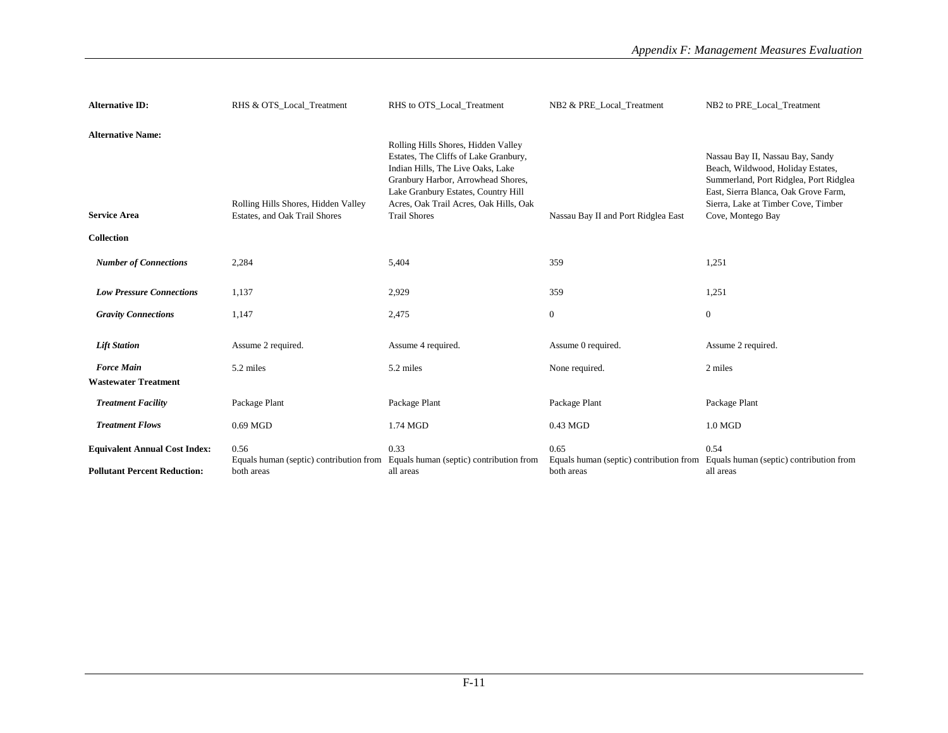| <b>Alternative ID:</b>                                                      | RHS & OTS Local Treatment                                            | RHS to OTS Local Treatment                                                                                                                                                                                                                                      | NB2 & PRE Local Treatment                                     | NB2 to PRE Local Treatment                                                                                                                                                                                          |
|-----------------------------------------------------------------------------|----------------------------------------------------------------------|-----------------------------------------------------------------------------------------------------------------------------------------------------------------------------------------------------------------------------------------------------------------|---------------------------------------------------------------|---------------------------------------------------------------------------------------------------------------------------------------------------------------------------------------------------------------------|
| <b>Alternative Name:</b><br><b>Service Area</b><br>Collection               | Rolling Hills Shores, Hidden Valley<br>Estates, and Oak Trail Shores | Rolling Hills Shores, Hidden Valley<br>Estates, The Cliffs of Lake Granbury,<br>Indian Hills, The Live Oaks, Lake<br>Granbury Harbor, Arrowhead Shores,<br>Lake Granbury Estates, Country Hill<br>Acres, Oak Trail Acres, Oak Hills, Oak<br><b>Trail Shores</b> | Nassau Bay II and Port Ridglea East                           | Nassau Bay II, Nassau Bay, Sandy<br>Beach, Wildwood, Holiday Estates,<br>Summerland, Port Ridglea, Port Ridglea<br>East, Sierra Blanca, Oak Grove Farm,<br>Sierra, Lake at Timber Cove, Timber<br>Cove, Montego Bay |
| <b>Number of Connections</b>                                                | 2,284                                                                | 5,404                                                                                                                                                                                                                                                           | 359                                                           | 1,251                                                                                                                                                                                                               |
|                                                                             |                                                                      |                                                                                                                                                                                                                                                                 |                                                               |                                                                                                                                                                                                                     |
| <b>Low Pressure Connections</b>                                             | 1,137                                                                | 2,929                                                                                                                                                                                                                                                           | 359                                                           | 1,251                                                                                                                                                                                                               |
| <b>Gravity Connections</b>                                                  | 1,147                                                                | 2,475                                                                                                                                                                                                                                                           | $\mathbf{0}$                                                  | $\mathbf{0}$                                                                                                                                                                                                        |
| <b>Lift Station</b>                                                         | Assume 2 required.                                                   | Assume 4 required.                                                                                                                                                                                                                                              | Assume 0 required.                                            | Assume 2 required.                                                                                                                                                                                                  |
| <b>Force Main</b><br><b>Wastewater Treatment</b>                            | 5.2 miles                                                            | 5.2 miles                                                                                                                                                                                                                                                       | None required.                                                | 2 miles                                                                                                                                                                                                             |
| <b>Treatment Facility</b>                                                   | Package Plant                                                        | Package Plant                                                                                                                                                                                                                                                   | Package Plant                                                 | Package Plant                                                                                                                                                                                                       |
| <b>Treatment Flows</b>                                                      | $0.69$ MGD                                                           | 1.74 MGD                                                                                                                                                                                                                                                        | 0.43 MGD                                                      | $1.0\text{ MGD}$                                                                                                                                                                                                    |
| <b>Equivalent Annual Cost Index:</b><br><b>Pollutant Percent Reduction:</b> | 0.56<br>Equals human (septic) contribution from<br>both areas        | 0.33<br>Equals human (septic) contribution from<br>all areas                                                                                                                                                                                                    | 0.65<br>Equals human (septic) contribution from<br>both areas | 0.54<br>Equals human (septic) contribution from<br>all areas                                                                                                                                                        |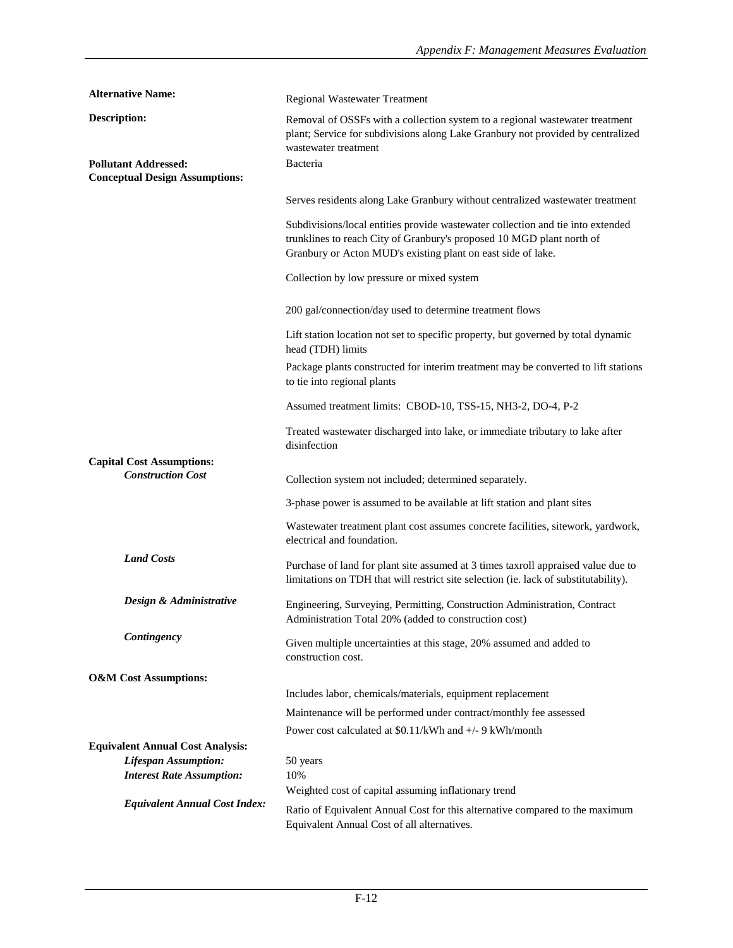| <b>Alternative Name:</b>                                        | Regional Wastewater Treatment                                                                                                                                                                                            |
|-----------------------------------------------------------------|--------------------------------------------------------------------------------------------------------------------------------------------------------------------------------------------------------------------------|
| <b>Description:</b><br><b>Pollutant Addressed:</b>              | Removal of OSSFs with a collection system to a regional wastewater treatment<br>plant; Service for subdivisions along Lake Granbury not provided by centralized<br>wastewater treatment                                  |
| <b>Conceptual Design Assumptions:</b>                           | Bacteria                                                                                                                                                                                                                 |
|                                                                 | Serves residents along Lake Granbury without centralized wastewater treatment                                                                                                                                            |
|                                                                 | Subdivisions/local entities provide wastewater collection and tie into extended<br>trunklines to reach City of Granbury's proposed 10 MGD plant north of<br>Granbury or Acton MUD's existing plant on east side of lake. |
|                                                                 | Collection by low pressure or mixed system                                                                                                                                                                               |
|                                                                 | 200 gal/connection/day used to determine treatment flows                                                                                                                                                                 |
|                                                                 | Lift station location not set to specific property, but governed by total dynamic<br>head (TDH) limits                                                                                                                   |
|                                                                 | Package plants constructed for interim treatment may be converted to lift stations<br>to tie into regional plants                                                                                                        |
|                                                                 | Assumed treatment limits: CBOD-10, TSS-15, NH3-2, DO-4, P-2                                                                                                                                                              |
|                                                                 | Treated wastewater discharged into lake, or immediate tributary to lake after<br>disinfection                                                                                                                            |
| <b>Capital Cost Assumptions:</b><br><b>Construction Cost</b>    |                                                                                                                                                                                                                          |
|                                                                 | Collection system not included; determined separately.                                                                                                                                                                   |
|                                                                 | 3-phase power is assumed to be available at lift station and plant sites                                                                                                                                                 |
|                                                                 | Wastewater treatment plant cost assumes concrete facilities, sitework, yardwork,<br>electrical and foundation.                                                                                                           |
| <b>Land Costs</b>                                               | Purchase of land for plant site assumed at 3 times taxroll appraised value due to<br>limitations on TDH that will restrict site selection (ie. lack of substitutability).                                                |
| Design & Administrative                                         | Engineering, Surveying, Permitting, Construction Administration, Contract<br>Administration Total 20% (added to construction cost)                                                                                       |
| Contingency                                                     | Given multiple uncertainties at this stage, 20% assumed and added to<br>construction cost.                                                                                                                               |
| <b>O&amp;M</b> Cost Assumptions:                                |                                                                                                                                                                                                                          |
|                                                                 | Includes labor, chemicals/materials, equipment replacement                                                                                                                                                               |
|                                                                 | Maintenance will be performed under contract/monthly fee assessed                                                                                                                                                        |
|                                                                 | Power cost calculated at \$0.11/kWh and +/- 9 kWh/month                                                                                                                                                                  |
| <b>Equivalent Annual Cost Analysis:</b>                         |                                                                                                                                                                                                                          |
| <b>Lifespan Assumption:</b><br><b>Interest Rate Assumption:</b> | 50 years<br>10%                                                                                                                                                                                                          |
|                                                                 | Weighted cost of capital assuming inflationary trend                                                                                                                                                                     |
| <b>Equivalent Annual Cost Index:</b>                            | Ratio of Equivalent Annual Cost for this alternative compared to the maximum<br>Equivalent Annual Cost of all alternatives.                                                                                              |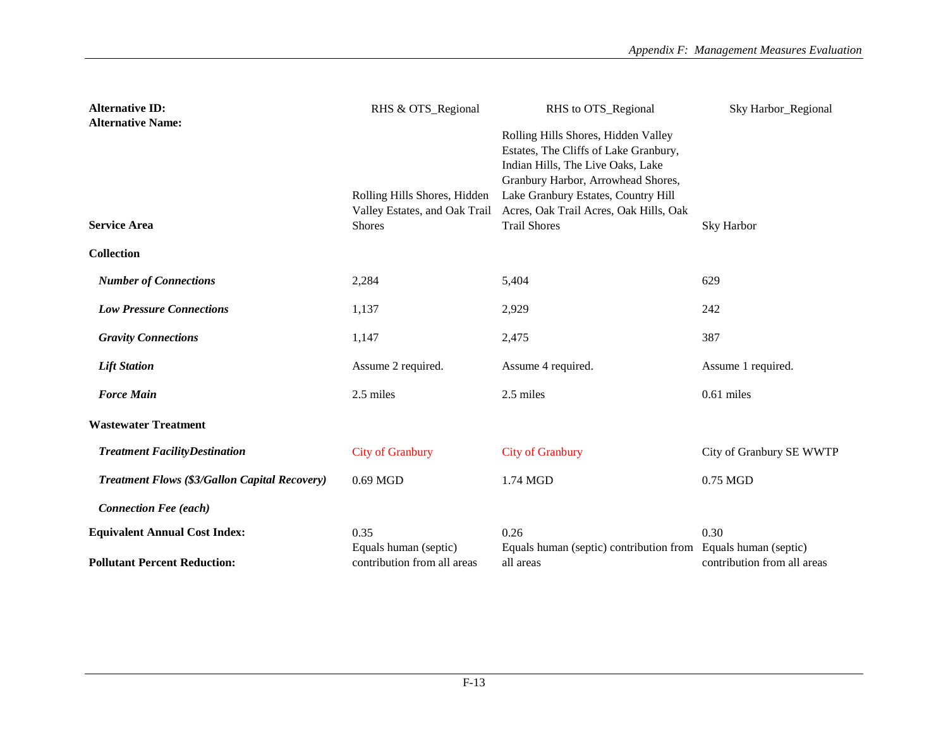| <b>Alternative ID:</b>                               | RHS & OTS_Regional                                                             | RHS to OTS_Regional                                                                                                                                                                                                                                             | Sky Harbor_Regional                                  |
|------------------------------------------------------|--------------------------------------------------------------------------------|-----------------------------------------------------------------------------------------------------------------------------------------------------------------------------------------------------------------------------------------------------------------|------------------------------------------------------|
| <b>Alternative Name:</b><br><b>Service Area</b>      | Rolling Hills Shores, Hidden<br>Valley Estates, and Oak Trail<br><b>Shores</b> | Rolling Hills Shores, Hidden Valley<br>Estates, The Cliffs of Lake Granbury,<br>Indian Hills, The Live Oaks, Lake<br>Granbury Harbor, Arrowhead Shores,<br>Lake Granbury Estates, Country Hill<br>Acres, Oak Trail Acres, Oak Hills, Oak<br><b>Trail Shores</b> | Sky Harbor                                           |
| <b>Collection</b>                                    |                                                                                |                                                                                                                                                                                                                                                                 |                                                      |
| <b>Number of Connections</b>                         | 2,284                                                                          | 5,404                                                                                                                                                                                                                                                           | 629                                                  |
| <b>Low Pressure Connections</b>                      | 1,137                                                                          | 2,929                                                                                                                                                                                                                                                           | 242                                                  |
| <b>Gravity Connections</b>                           | 1,147                                                                          | 2,475                                                                                                                                                                                                                                                           | 387                                                  |
| <b>Lift Station</b>                                  | Assume 2 required.                                                             | Assume 4 required.                                                                                                                                                                                                                                              | Assume 1 required.                                   |
| <b>Force Main</b>                                    | 2.5 miles                                                                      | 2.5 miles                                                                                                                                                                                                                                                       | $0.61$ miles                                         |
| <b>Wastewater Treatment</b>                          |                                                                                |                                                                                                                                                                                                                                                                 |                                                      |
| <b>Treatment FacilityDestination</b>                 | <b>City of Granbury</b>                                                        | <b>City of Granbury</b>                                                                                                                                                                                                                                         | City of Granbury SE WWTP                             |
| <b>Treatment Flows (\$3/Gallon Capital Recovery)</b> | 0.69 MGD                                                                       | 1.74 MGD                                                                                                                                                                                                                                                        | 0.75 MGD                                             |
| <b>Connection Fee (each)</b>                         |                                                                                |                                                                                                                                                                                                                                                                 |                                                      |
| <b>Equivalent Annual Cost Index:</b>                 | 0.35                                                                           | 0.26                                                                                                                                                                                                                                                            | 0.30                                                 |
| <b>Pollutant Percent Reduction:</b>                  | Equals human (septic)<br>contribution from all areas                           | Equals human (septic) contribution from<br>all areas                                                                                                                                                                                                            | Equals human (septic)<br>contribution from all areas |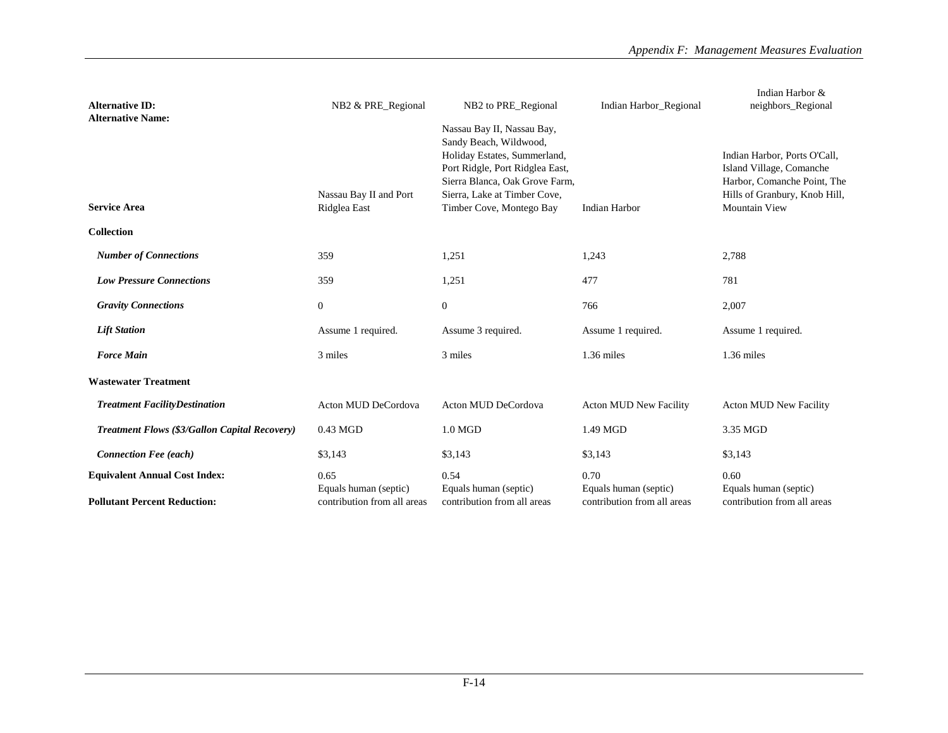| <b>Alternative ID:</b>                                                      | NB2 & PRE_Regional                                           | NB2 to PRE_Regional                                                                                                                                                                                                   | Indian Harbor_Regional                                       | Indian Harbor &<br>neighbors_Regional                                                                                                            |
|-----------------------------------------------------------------------------|--------------------------------------------------------------|-----------------------------------------------------------------------------------------------------------------------------------------------------------------------------------------------------------------------|--------------------------------------------------------------|--------------------------------------------------------------------------------------------------------------------------------------------------|
| <b>Alternative Name:</b><br><b>Service Area</b>                             | Nassau Bay II and Port<br>Ridglea East                       | Nassau Bay II, Nassau Bay,<br>Sandy Beach, Wildwood,<br>Holiday Estates, Summerland,<br>Port Ridgle, Port Ridglea East,<br>Sierra Blanca, Oak Grove Farm,<br>Sierra, Lake at Timber Cove,<br>Timber Cove, Montego Bay | <b>Indian Harbor</b>                                         | Indian Harbor, Ports O'Call,<br>Island Village, Comanche<br>Harbor, Comanche Point, The<br>Hills of Granbury, Knob Hill,<br><b>Mountain View</b> |
| <b>Collection</b>                                                           |                                                              |                                                                                                                                                                                                                       |                                                              |                                                                                                                                                  |
| <b>Number of Connections</b>                                                | 359                                                          | 1,251                                                                                                                                                                                                                 | 1,243                                                        | 2,788                                                                                                                                            |
| <b>Low Pressure Connections</b>                                             | 359                                                          | 1,251                                                                                                                                                                                                                 | 477                                                          | 781                                                                                                                                              |
| <b>Gravity Connections</b>                                                  | $\overline{0}$                                               | $\mathbf{0}$                                                                                                                                                                                                          | 766                                                          | 2,007                                                                                                                                            |
| <b>Lift Station</b>                                                         | Assume 1 required.                                           | Assume 3 required.                                                                                                                                                                                                    | Assume 1 required.                                           | Assume 1 required.                                                                                                                               |
| <b>Force Main</b>                                                           | 3 miles                                                      | 3 miles                                                                                                                                                                                                               | $1.36$ miles                                                 | 1.36 miles                                                                                                                                       |
| <b>Wastewater Treatment</b>                                                 |                                                              |                                                                                                                                                                                                                       |                                                              |                                                                                                                                                  |
| <b>Treatment FacilityDestination</b>                                        | Acton MUD DeCordova                                          | Acton MUD DeCordova                                                                                                                                                                                                   | <b>Acton MUD New Facility</b>                                | <b>Acton MUD New Facility</b>                                                                                                                    |
| <b>Treatment Flows (\$3/Gallon Capital Recovery)</b>                        | $0.43$ MGD                                                   | $1.0$ MGD                                                                                                                                                                                                             | 1.49 MGD                                                     | 3.35 MGD                                                                                                                                         |
| <b>Connection Fee (each)</b>                                                | \$3,143                                                      | \$3,143                                                                                                                                                                                                               | \$3,143                                                      | \$3,143                                                                                                                                          |
| <b>Equivalent Annual Cost Index:</b><br><b>Pollutant Percent Reduction:</b> | 0.65<br>Equals human (septic)<br>contribution from all areas | 0.54<br>Equals human (septic)<br>contribution from all areas                                                                                                                                                          | 0.70<br>Equals human (septic)<br>contribution from all areas | 0.60<br>Equals human (septic)<br>contribution from all areas                                                                                     |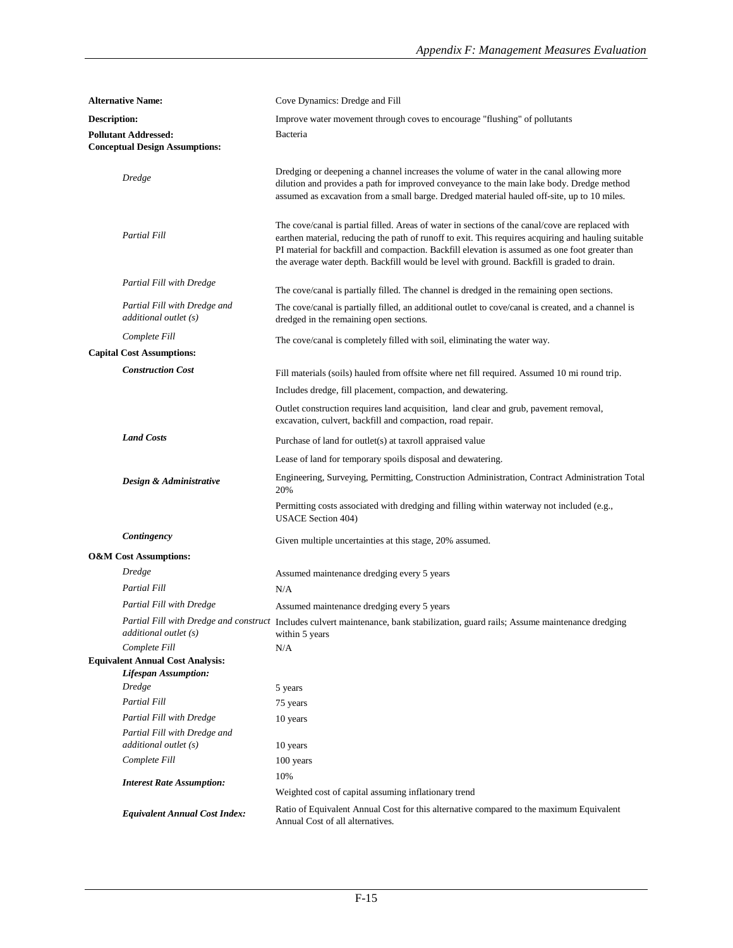|              | <b>Alternative Name:</b>                                                                                               | Cove Dynamics: Dredge and Fill                                                                                                                                                                                                                                                                                                                                                                           |
|--------------|------------------------------------------------------------------------------------------------------------------------|----------------------------------------------------------------------------------------------------------------------------------------------------------------------------------------------------------------------------------------------------------------------------------------------------------------------------------------------------------------------------------------------------------|
| Description: |                                                                                                                        | Improve water movement through coves to encourage "flushing" of pollutants                                                                                                                                                                                                                                                                                                                               |
|              | <b>Pollutant Addressed:</b><br><b>Conceptual Design Assumptions:</b>                                                   | Bacteria                                                                                                                                                                                                                                                                                                                                                                                                 |
|              |                                                                                                                        |                                                                                                                                                                                                                                                                                                                                                                                                          |
|              | <b>Dredge</b>                                                                                                          | Dredging or deepening a channel increases the volume of water in the canal allowing more<br>dilution and provides a path for improved conveyance to the main lake body. Dredge method<br>assumed as excavation from a small barge. Dredged material hauled off-site, up to 10 miles.                                                                                                                     |
|              | <b>Partial Fill</b>                                                                                                    | The cove/canal is partial filled. Areas of water in sections of the canal/cove are replaced with<br>earthen material, reducing the path of runoff to exit. This requires acquiring and hauling suitable<br>PI material for backfill and compaction. Backfill elevation is assumed as one foot greater than<br>the average water depth. Backfill would be level with ground. Backfill is graded to drain. |
|              | Partial Fill with Dredge                                                                                               | The cove/canal is partially filled. The channel is dredged in the remaining open sections.                                                                                                                                                                                                                                                                                                               |
|              | Partial Fill with Dredge and<br>additional outlet (s)                                                                  | The cove/canal is partially filled, an additional outlet to cove/canal is created, and a channel is<br>dredged in the remaining open sections.                                                                                                                                                                                                                                                           |
|              | Complete Fill<br><b>Capital Cost Assumptions:</b>                                                                      | The cove/canal is completely filled with soil, eliminating the water way.                                                                                                                                                                                                                                                                                                                                |
|              | <b>Construction Cost</b>                                                                                               |                                                                                                                                                                                                                                                                                                                                                                                                          |
|              |                                                                                                                        | Fill materials (soils) hauled from offsite where net fill required. Assumed 10 mi round trip.                                                                                                                                                                                                                                                                                                            |
|              |                                                                                                                        | Includes dredge, fill placement, compaction, and dewatering.                                                                                                                                                                                                                                                                                                                                             |
|              |                                                                                                                        | Outlet construction requires land acquisition, land clear and grub, pavement removal,<br>excavation, culvert, backfill and compaction, road repair.                                                                                                                                                                                                                                                      |
|              | <b>Land Costs</b>                                                                                                      | Purchase of land for outlet(s) at taxroll appraised value                                                                                                                                                                                                                                                                                                                                                |
|              | Lease of land for temporary spoils disposal and dewatering.                                                            |                                                                                                                                                                                                                                                                                                                                                                                                          |
|              | Design & Administrative                                                                                                | Engineering, Surveying, Permitting, Construction Administration, Contract Administration Total<br>20%                                                                                                                                                                                                                                                                                                    |
|              | Permitting costs associated with dredging and filling within waterway not included (e.g.,<br><b>USACE Section 404)</b> |                                                                                                                                                                                                                                                                                                                                                                                                          |
|              | Contingency                                                                                                            | Given multiple uncertainties at this stage, 20% assumed.                                                                                                                                                                                                                                                                                                                                                 |
|              | <b>O&amp;M</b> Cost Assumptions:                                                                                       |                                                                                                                                                                                                                                                                                                                                                                                                          |
|              | Dredge                                                                                                                 | Assumed maintenance dredging every 5 years                                                                                                                                                                                                                                                                                                                                                               |
|              | <b>Partial Fill</b>                                                                                                    | N/A                                                                                                                                                                                                                                                                                                                                                                                                      |
|              | Partial Fill with Dredge                                                                                               | Assumed maintenance dredging every 5 years                                                                                                                                                                                                                                                                                                                                                               |
|              | additional outlet (s)                                                                                                  | Partial Fill with Dredge and construct Includes culvert maintenance, bank stabilization, guard rails; Assume maintenance dredging<br>within 5 years                                                                                                                                                                                                                                                      |
|              | Complete Fill                                                                                                          | N/A                                                                                                                                                                                                                                                                                                                                                                                                      |
|              | <b>Equivalent Annual Cost Analysis:</b><br><b>Lifespan Assumption:</b>                                                 |                                                                                                                                                                                                                                                                                                                                                                                                          |
|              | <b>Dredge</b>                                                                                                          | 5 years                                                                                                                                                                                                                                                                                                                                                                                                  |
|              | <b>Partial Fill</b>                                                                                                    | 75 years                                                                                                                                                                                                                                                                                                                                                                                                 |
|              | Partial Fill with Dredge                                                                                               | 10 years                                                                                                                                                                                                                                                                                                                                                                                                 |
|              | Partial Fill with Dredge and                                                                                           |                                                                                                                                                                                                                                                                                                                                                                                                          |
|              | additional outlet (s)                                                                                                  | 10 years                                                                                                                                                                                                                                                                                                                                                                                                 |
|              | Complete Fill                                                                                                          | 100 years                                                                                                                                                                                                                                                                                                                                                                                                |
|              | <b>Interest Rate Assumption:</b>                                                                                       | 10%                                                                                                                                                                                                                                                                                                                                                                                                      |
|              |                                                                                                                        | Weighted cost of capital assuming inflationary trend                                                                                                                                                                                                                                                                                                                                                     |
|              | <b>Equivalent Annual Cost Index:</b>                                                                                   | Ratio of Equivalent Annual Cost for this alternative compared to the maximum Equivalent<br>Annual Cost of all alternatives.                                                                                                                                                                                                                                                                              |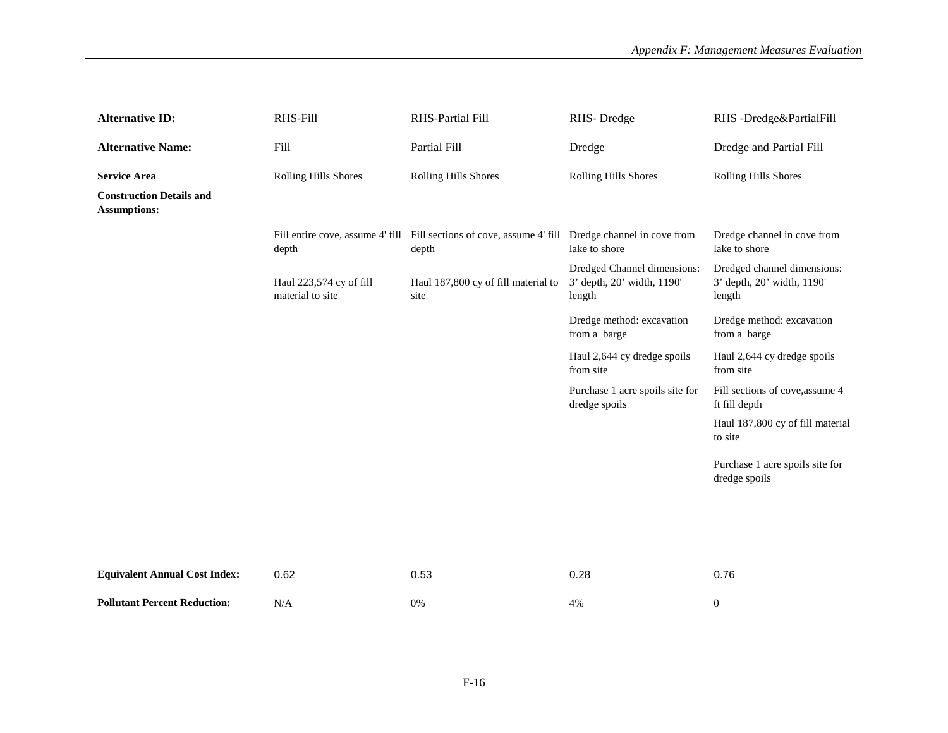| <b>Alternative ID:</b>                                 | RHS-Fill                                    | RHS-Partial Fill                                                                                            | RHS-Dredge                                                          | RHS-Dredge&PartialFill                                              |
|--------------------------------------------------------|---------------------------------------------|-------------------------------------------------------------------------------------------------------------|---------------------------------------------------------------------|---------------------------------------------------------------------|
| <b>Alternative Name:</b>                               | Fill                                        | Partial Fill                                                                                                | Dredge                                                              | Dredge and Partial Fill                                             |
| <b>Service Area</b>                                    | Rolling Hills Shores                        | <b>Rolling Hills Shores</b>                                                                                 | Rolling Hills Shores                                                | Rolling Hills Shores                                                |
| <b>Construction Details and</b><br><b>Assumptions:</b> |                                             |                                                                                                             |                                                                     |                                                                     |
|                                                        | depth                                       | Fill entire cove, assume 4' fill Fill sections of cove, assume 4' fill Dredge channel in cove from<br>depth | lake to shore                                                       | Dredge channel in cove from<br>lake to shore                        |
|                                                        | Haul 223,574 cy of fill<br>material to site | Haul 187,800 cy of fill material to<br>site                                                                 | Dredged Channel dimensions:<br>3' depth, 20' width, 1190'<br>length | Dredged channel dimensions:<br>3' depth, 20' width, 1190'<br>length |
|                                                        |                                             |                                                                                                             | Dredge method: excavation<br>from a barge                           | Dredge method: excavation<br>from a barge                           |
|                                                        |                                             |                                                                                                             | Haul 2,644 cy dredge spoils<br>from site                            | Haul 2,644 cy dredge spoils<br>from site                            |
|                                                        |                                             |                                                                                                             | Purchase 1 acre spoils site for<br>dredge spoils                    | Fill sections of cove, assume 4<br>ft fill depth                    |
|                                                        |                                             |                                                                                                             |                                                                     | Haul 187,800 cy of fill material<br>to site                         |
|                                                        |                                             |                                                                                                             |                                                                     | Purchase 1 acre spoils site for<br>dredge spoils                    |
|                                                        |                                             |                                                                                                             |                                                                     |                                                                     |
|                                                        |                                             |                                                                                                             |                                                                     |                                                                     |
| <b>Equivalent Annual Cost Index:</b>                   | 0.62                                        | 0.53                                                                                                        | 0.28                                                                | 0.76                                                                |
| <b>Pollutant Percent Reduction:</b>                    | N/A                                         | 0%                                                                                                          | 4%                                                                  | $\boldsymbol{0}$                                                    |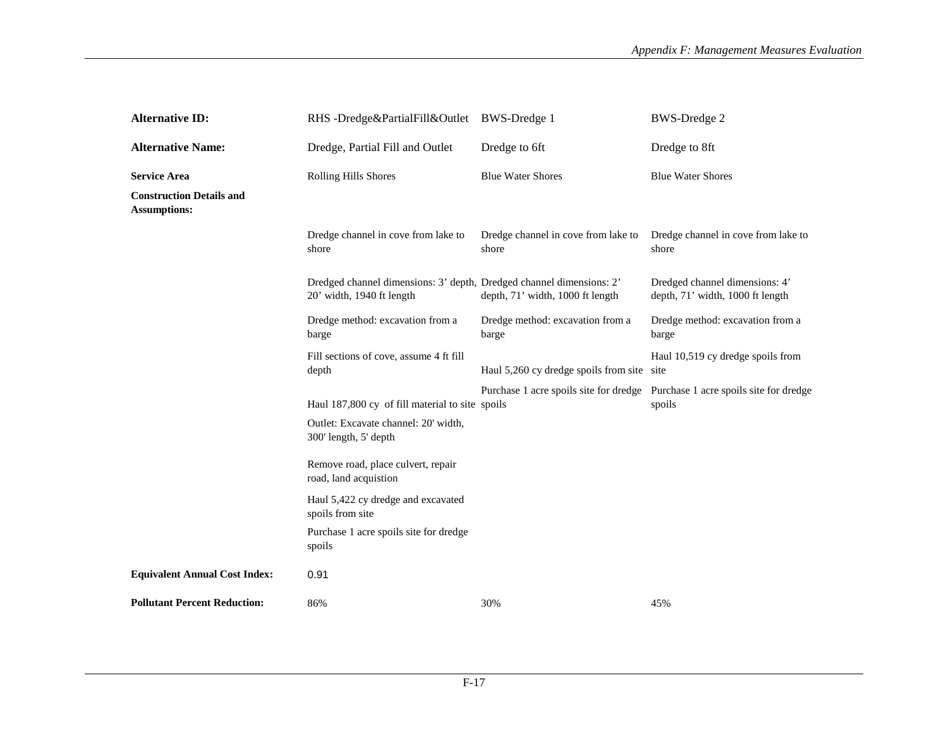| <b>Alternative ID:</b>                                 | RHS-Dredge&PartialFill&Outlet                                                                     | <b>BWS-Dredge 1</b>                          | <b>BWS-Dredge 2</b>                                                                     |
|--------------------------------------------------------|---------------------------------------------------------------------------------------------------|----------------------------------------------|-----------------------------------------------------------------------------------------|
| <b>Alternative Name:</b>                               | Dredge, Partial Fill and Outlet                                                                   | Dredge to 6ft                                | Dredge to 8ft                                                                           |
| <b>Service Area</b>                                    | <b>Rolling Hills Shores</b>                                                                       | <b>Blue Water Shores</b>                     | <b>Blue Water Shores</b>                                                                |
| <b>Construction Details and</b><br><b>Assumptions:</b> |                                                                                                   |                                              |                                                                                         |
|                                                        | Dredge channel in cove from lake to<br>shore                                                      | Dredge channel in cove from lake to<br>shore | Dredge channel in cove from lake to<br>shore                                            |
|                                                        | Dredged channel dimensions: 3' depth, Dredged channel dimensions: 2'<br>20' width, 1940 ft length | depth, 71' width, 1000 ft length             | Dredged channel dimensions: 4'<br>depth, 71' width, 1000 ft length                      |
|                                                        | Dredge method: excavation from a<br>barge                                                         | Dredge method: excavation from a<br>barge    | Dredge method: excavation from a<br>barge                                               |
|                                                        | Fill sections of cove, assume 4 ft fill<br>depth                                                  | Haul 5,260 cy dredge spoils from site site   | Haul 10,519 cy dredge spoils from                                                       |
|                                                        | Haul 187,800 cy of fill material to site spoils                                                   |                                              | Purchase 1 acre spoils site for dredge Purchase 1 acre spoils site for dredge<br>spoils |
|                                                        | Outlet: Excavate channel: 20' width,<br>300' length, 5' depth                                     |                                              |                                                                                         |
|                                                        | Remove road, place culvert, repair<br>road, land acquistion                                       |                                              |                                                                                         |
|                                                        | Haul 5,422 cy dredge and excavated<br>spoils from site                                            |                                              |                                                                                         |
|                                                        | Purchase 1 acre spoils site for dredge<br>spoils                                                  |                                              |                                                                                         |
| <b>Equivalent Annual Cost Index:</b>                   | 0.91                                                                                              |                                              |                                                                                         |
| <b>Pollutant Percent Reduction:</b>                    | 86%                                                                                               | 30%                                          | 45%                                                                                     |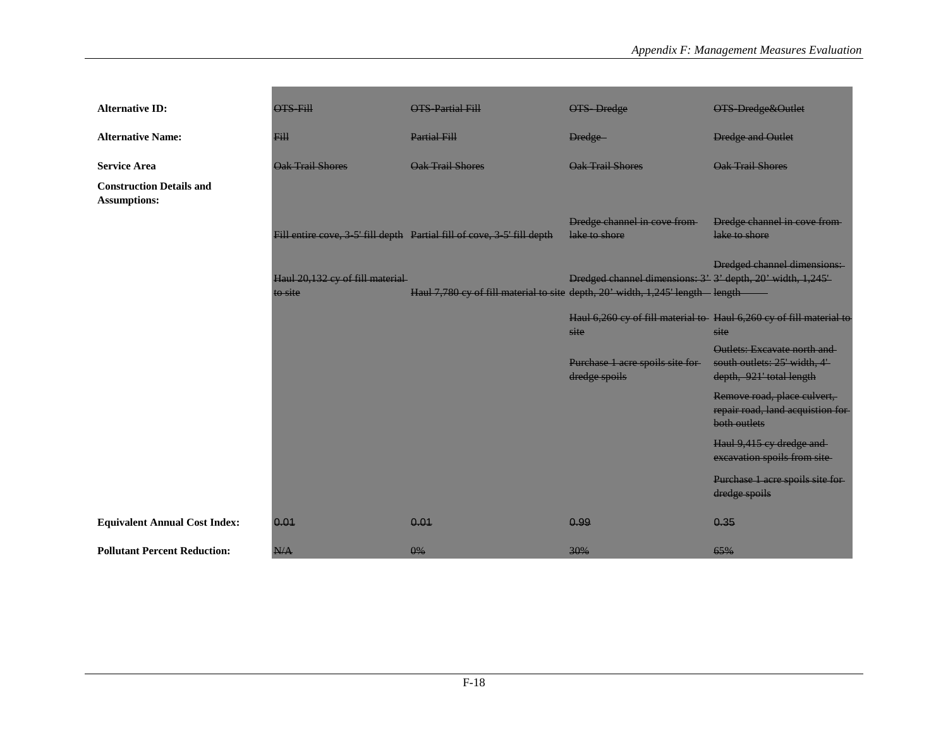| <b>Alternative ID:</b>                                 | <b>OTS Fill</b>                            | <b>OTS-Partial Fill</b>                                                         | <b>OTS</b> Dredge                                                           | <b>OTS Dredge&amp;Outlet</b>                                                             |
|--------------------------------------------------------|--------------------------------------------|---------------------------------------------------------------------------------|-----------------------------------------------------------------------------|------------------------------------------------------------------------------------------|
| <b>Alternative Name:</b>                               | <b>Fill</b>                                | <b>Partial Fill</b>                                                             | Dredge-                                                                     | <b>Dredge and Outlet</b>                                                                 |
| <b>Service Area</b>                                    | Oak Trail Shores                           | <b>Oak Trail Shores</b>                                                         | <b>Oak Trail Shores</b>                                                     | Oak Trail Shores                                                                         |
| <b>Construction Details and</b><br><b>Assumptions:</b> |                                            |                                                                                 |                                                                             |                                                                                          |
|                                                        |                                            | Fill entire cove, 3-5' fill depth Partial fill of cove, 3-5' fill depth         | Dredge channel in cove from-<br>lake to shore                               | Dredge channel in cove from-<br>lake to shore                                            |
|                                                        | Haul 20,132 cy of fill material<br>to site | Haul 7,780 cy of fill material to site depth, 20' width, 1,245' length - length | Dredged channel dimensions: 3' 3' depth, 20' width, 1,245'                  | Dredged channel dimensions:                                                              |
|                                                        |                                            |                                                                                 | Haul 6,260 cy of fill material to Haul 6,260 cy of fill material to<br>site | site                                                                                     |
|                                                        |                                            |                                                                                 | Purchase 1 acre spoils site for-<br>dredge spoils                           | Outlets: Excavate north and<br>south outlets: 25' width, 4'-<br>depth, 921' total length |
|                                                        |                                            |                                                                                 |                                                                             | Remove road, place culvert,<br>repair road, land acquistion for<br>both outlets          |
|                                                        |                                            |                                                                                 |                                                                             | Haul 9,415 cy dredge and<br>excavation spoils from site                                  |
|                                                        |                                            |                                                                                 |                                                                             | Purchase 1 acre spoils site for-<br>dredge spoils                                        |
| <b>Equivalent Annual Cost Index:</b>                   | 0.01                                       | 0.01                                                                            | 0.99                                                                        | 0.35                                                                                     |
| <b>Pollutant Percent Reduction:</b>                    | N/A                                        | $\theta\%$                                                                      | 30%                                                                         | 65%                                                                                      |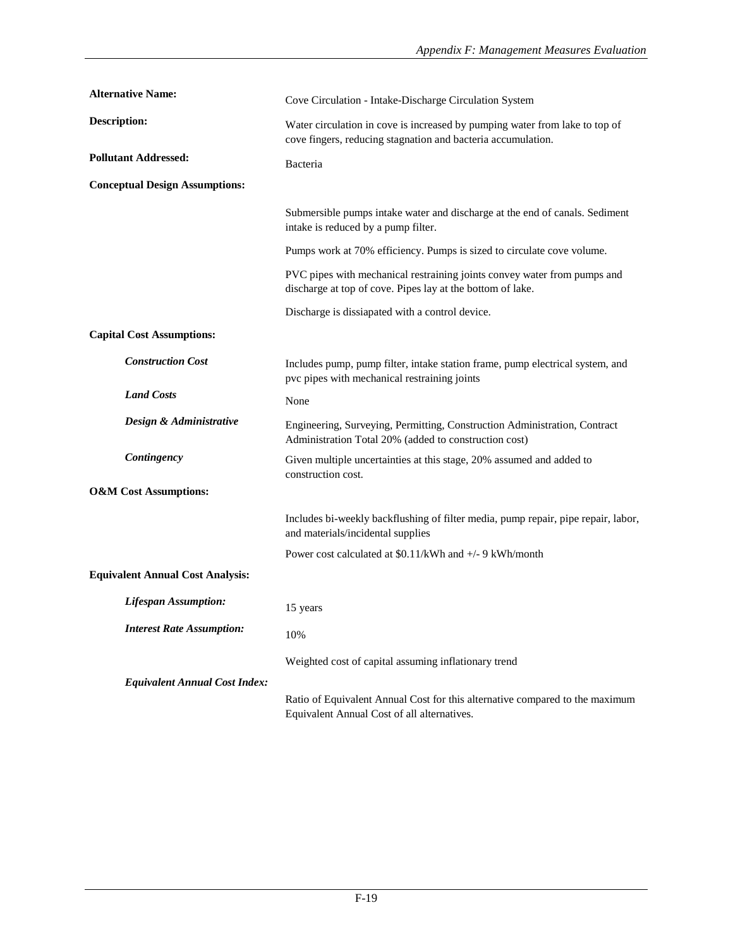| <b>Alternative Name:</b>                | Cove Circulation - Intake-Discharge Circulation System                                                                                      |
|-----------------------------------------|---------------------------------------------------------------------------------------------------------------------------------------------|
| <b>Description:</b>                     | Water circulation in cove is increased by pumping water from lake to top of<br>cove fingers, reducing stagnation and bacteria accumulation. |
| <b>Pollutant Addressed:</b>             | Bacteria                                                                                                                                    |
| <b>Conceptual Design Assumptions:</b>   |                                                                                                                                             |
|                                         | Submersible pumps intake water and discharge at the end of canals. Sediment<br>intake is reduced by a pump filter.                          |
|                                         | Pumps work at 70% efficiency. Pumps is sized to circulate cove volume.                                                                      |
|                                         | PVC pipes with mechanical restraining joints convey water from pumps and<br>discharge at top of cove. Pipes lay at the bottom of lake.      |
|                                         | Discharge is dissianated with a control device.                                                                                             |
| <b>Capital Cost Assumptions:</b>        |                                                                                                                                             |
| <b>Construction Cost</b>                | Includes pump, pump filter, intake station frame, pump electrical system, and<br>pvc pipes with mechanical restraining joints               |
| <b>Land Costs</b>                       | None                                                                                                                                        |
| Design & Administrative                 | Engineering, Surveying, Permitting, Construction Administration, Contract<br>Administration Total 20% (added to construction cost)          |
| Contingency                             | Given multiple uncertainties at this stage, 20% assumed and added to<br>construction cost.                                                  |
| <b>O&amp;M</b> Cost Assumptions:        |                                                                                                                                             |
|                                         | Includes bi-weekly backflushing of filter media, pump repair, pipe repair, labor,<br>and materials/incidental supplies                      |
|                                         | Power cost calculated at \$0.11/kWh and +/- 9 kWh/month                                                                                     |
| <b>Equivalent Annual Cost Analysis:</b> |                                                                                                                                             |
| <b>Lifespan Assumption:</b>             | 15 years                                                                                                                                    |
| <b>Interest Rate Assumption:</b>        | 10%                                                                                                                                         |
|                                         | Weighted cost of capital assuming inflationary trend                                                                                        |
| <b>Equivalent Annual Cost Index:</b>    |                                                                                                                                             |
|                                         | Ratio of Equivalent Annual Cost for this alternative compared to the maximum<br>Equivalent Annual Cost of all alternatives.                 |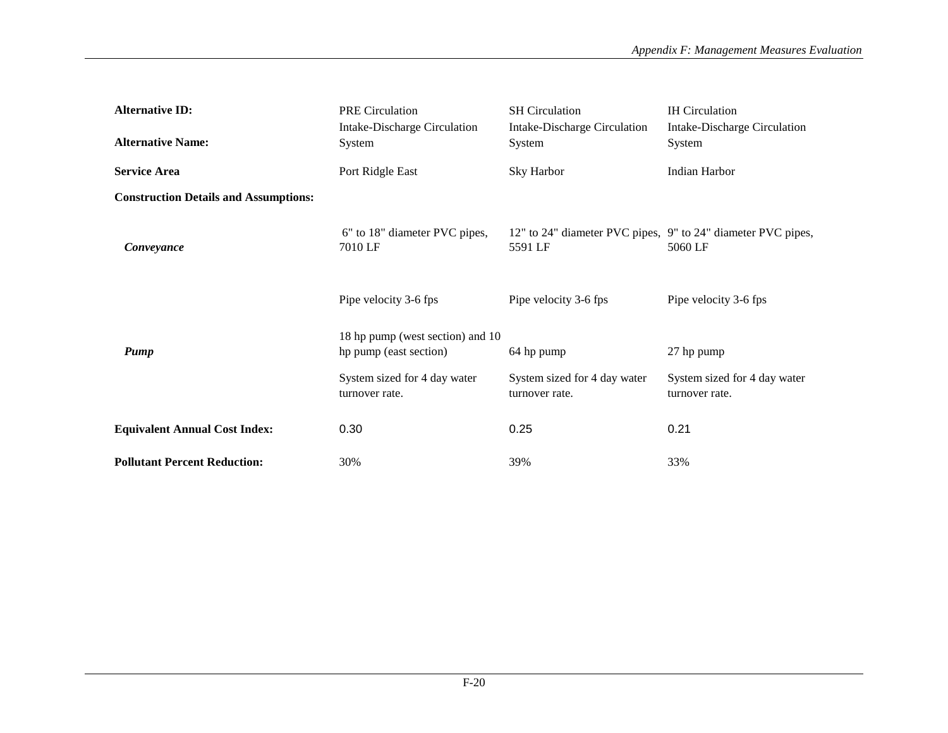| <b>Alternative ID:</b>                       | <b>PRE</b> Circulation                                     | <b>SH</b> Circulation                                                   | <b>IH</b> Circulation                          |
|----------------------------------------------|------------------------------------------------------------|-------------------------------------------------------------------------|------------------------------------------------|
| <b>Alternative Name:</b>                     | <b>Intake-Discharge Circulation</b><br>System              | Intake-Discharge Circulation<br>System                                  | Intake-Discharge Circulation<br>System         |
| <b>Service Area</b>                          | Port Ridgle East                                           | Sky Harbor                                                              | Indian Harbor                                  |
| <b>Construction Details and Assumptions:</b> |                                                            |                                                                         |                                                |
| Conveyance                                   | 6" to 18" diameter PVC pipes,<br>7010 LF                   | 12" to 24" diameter PVC pipes, 9" to 24" diameter PVC pipes,<br>5591 LF | 5060 LF                                        |
|                                              | Pipe velocity 3-6 fps                                      | Pipe velocity 3-6 fps                                                   | Pipe velocity 3-6 fps                          |
| Pump                                         | 18 hp pump (west section) and 10<br>hp pump (east section) | 64 hp pump                                                              | 27 hp pump                                     |
|                                              | System sized for 4 day water<br>turnover rate.             | System sized for 4 day water<br>turnover rate.                          | System sized for 4 day water<br>turnover rate. |
| <b>Equivalent Annual Cost Index:</b>         | 0.30                                                       | 0.25                                                                    | 0.21                                           |
| <b>Pollutant Percent Reduction:</b>          | 30%                                                        | 39%                                                                     | 33%                                            |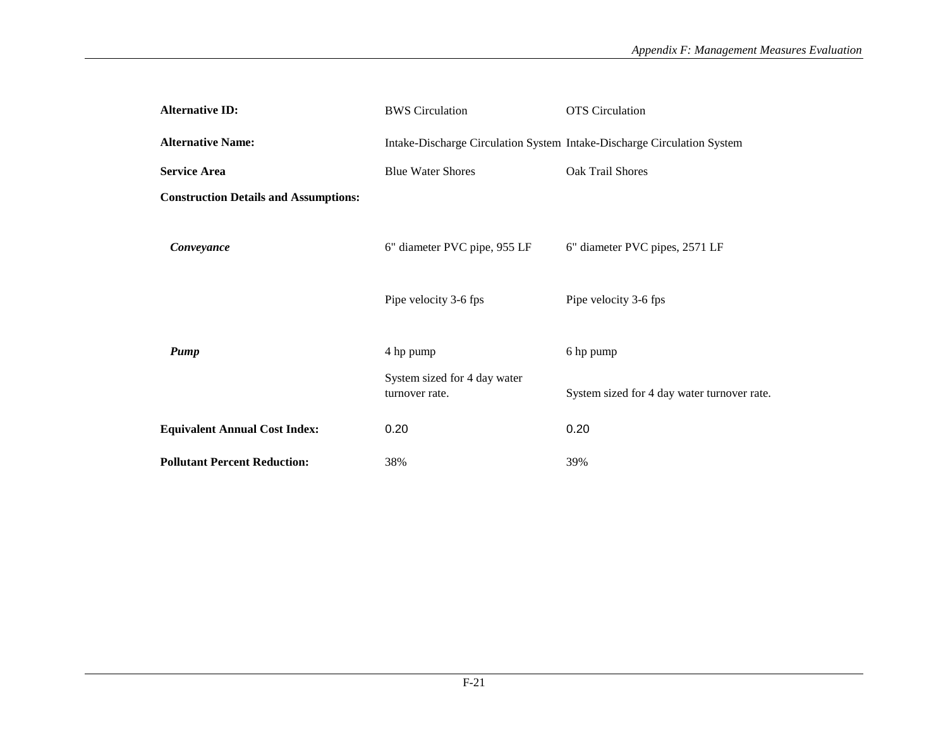| <b>Alternative ID:</b>                       | <b>BWS</b> Circulation                         | <b>OTS</b> Circulation                                                  |
|----------------------------------------------|------------------------------------------------|-------------------------------------------------------------------------|
| <b>Alternative Name:</b>                     |                                                | Intake-Discharge Circulation System Intake-Discharge Circulation System |
| <b>Service Area</b>                          | <b>Blue Water Shores</b>                       | Oak Trail Shores                                                        |
| <b>Construction Details and Assumptions:</b> |                                                |                                                                         |
| Conveyance                                   | 6" diameter PVC pipe, 955 LF                   | 6" diameter PVC pipes, 2571 LF                                          |
|                                              | Pipe velocity 3-6 fps                          | Pipe velocity 3-6 fps                                                   |
|                                              |                                                |                                                                         |
| Pump                                         | 4 hp pump                                      | 6 hp pump                                                               |
|                                              | System sized for 4 day water<br>turnover rate. | System sized for 4 day water turnover rate.                             |
| <b>Equivalent Annual Cost Index:</b>         | 0.20                                           | 0.20                                                                    |
| <b>Pollutant Percent Reduction:</b>          | 38%                                            | 39%                                                                     |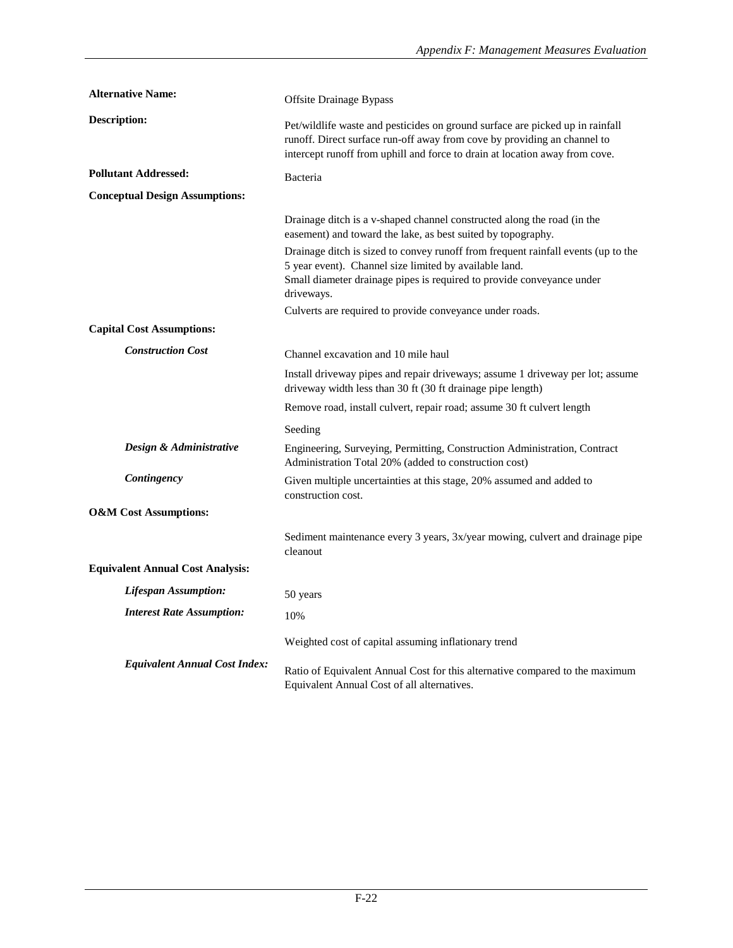| <b>Alternative Name:</b>                | Offsite Drainage Bypass                                                                                                                                                                                                                  |
|-----------------------------------------|------------------------------------------------------------------------------------------------------------------------------------------------------------------------------------------------------------------------------------------|
| <b>Description:</b>                     | Pet/wildlife waste and pesticides on ground surface are picked up in rainfall<br>runoff. Direct surface run-off away from cove by providing an channel to<br>intercept runoff from uphill and force to drain at location away from cove. |
| <b>Pollutant Addressed:</b>             | Bacteria                                                                                                                                                                                                                                 |
| <b>Conceptual Design Assumptions:</b>   |                                                                                                                                                                                                                                          |
|                                         | Drainage ditch is a v-shaped channel constructed along the road (in the<br>easement) and toward the lake, as best suited by topography.                                                                                                  |
|                                         | Drainage ditch is sized to convey runoff from frequent rainfall events (up to the<br>5 year event). Channel size limited by available land.<br>Small diameter drainage pipes is required to provide conveyance under<br>driveways.       |
|                                         | Culverts are required to provide conveyance under roads.                                                                                                                                                                                 |
| <b>Capital Cost Assumptions:</b>        |                                                                                                                                                                                                                                          |
| <b>Construction Cost</b>                | Channel excavation and 10 mile haul                                                                                                                                                                                                      |
|                                         | Install driveway pipes and repair driveways; assume 1 driveway per lot; assume<br>driveway width less than 30 ft (30 ft drainage pipe length)                                                                                            |
|                                         | Remove road, install culvert, repair road; assume 30 ft culvert length                                                                                                                                                                   |
|                                         | Seeding                                                                                                                                                                                                                                  |
| Design & Administrative                 | Engineering, Surveying, Permitting, Construction Administration, Contract<br>Administration Total 20% (added to construction cost)                                                                                                       |
| Contingency                             | Given multiple uncertainties at this stage, 20% assumed and added to<br>construction cost.                                                                                                                                               |
| <b>O&amp;M</b> Cost Assumptions:        |                                                                                                                                                                                                                                          |
|                                         | Sediment maintenance every 3 years, 3x/year mowing, culvert and drainage pipe<br>cleanout                                                                                                                                                |
| <b>Equivalent Annual Cost Analysis:</b> |                                                                                                                                                                                                                                          |
| <b>Lifespan Assumption:</b>             | 50 years                                                                                                                                                                                                                                 |
| <b>Interest Rate Assumption:</b>        | 10%                                                                                                                                                                                                                                      |
|                                         | Weighted cost of capital assuming inflationary trend                                                                                                                                                                                     |
| <b>Equivalent Annual Cost Index:</b>    | Ratio of Equivalent Annual Cost for this alternative compared to the maximum<br>Equivalent Annual Cost of all alternatives.                                                                                                              |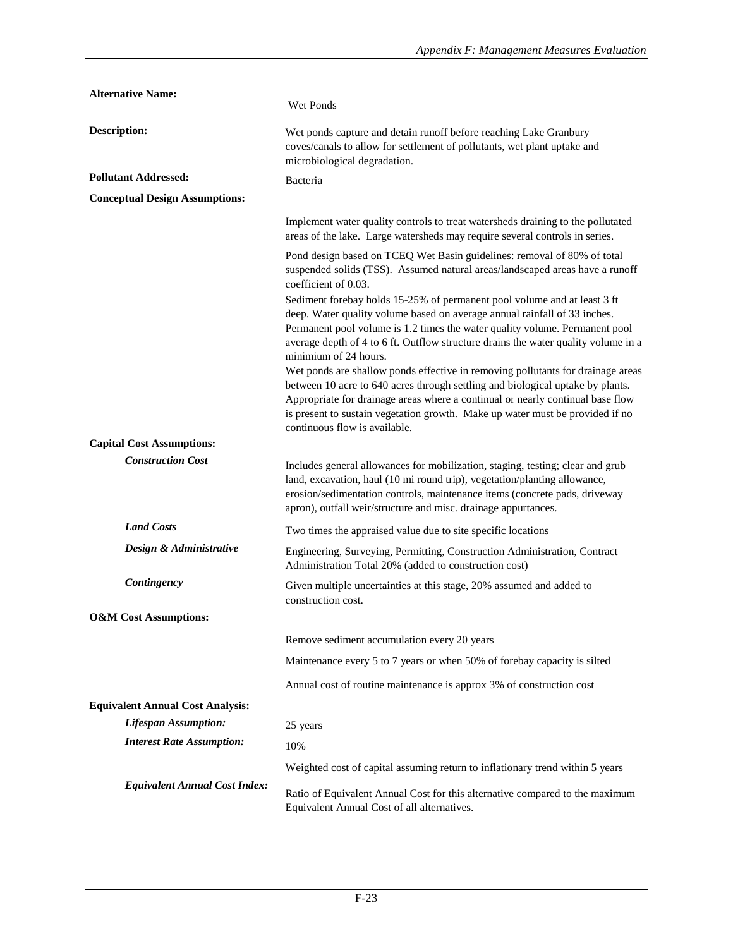| <b>Alternative Name:</b>                | Wet Ponds                                                                                                                                                                                                                                                                                                                                                                                                                                                                                                                                                                                                                                                                                                                    |
|-----------------------------------------|------------------------------------------------------------------------------------------------------------------------------------------------------------------------------------------------------------------------------------------------------------------------------------------------------------------------------------------------------------------------------------------------------------------------------------------------------------------------------------------------------------------------------------------------------------------------------------------------------------------------------------------------------------------------------------------------------------------------------|
| <b>Description:</b>                     | Wet ponds capture and detain runoff before reaching Lake Granbury<br>coves/canals to allow for settlement of pollutants, wet plant uptake and<br>microbiological degradation.                                                                                                                                                                                                                                                                                                                                                                                                                                                                                                                                                |
| <b>Pollutant Addressed:</b>             | Bacteria                                                                                                                                                                                                                                                                                                                                                                                                                                                                                                                                                                                                                                                                                                                     |
| <b>Conceptual Design Assumptions:</b>   |                                                                                                                                                                                                                                                                                                                                                                                                                                                                                                                                                                                                                                                                                                                              |
|                                         | Implement water quality controls to treat watersheds draining to the pollutated<br>areas of the lake. Large watersheds may require several controls in series.                                                                                                                                                                                                                                                                                                                                                                                                                                                                                                                                                               |
|                                         | Pond design based on TCEQ Wet Basin guidelines: removal of 80% of total<br>suspended solids (TSS). Assumed natural areas/landscaped areas have a runoff<br>coefficient of 0.03.                                                                                                                                                                                                                                                                                                                                                                                                                                                                                                                                              |
|                                         | Sediment forebay holds 15-25% of permanent pool volume and at least 3 ft<br>deep. Water quality volume based on average annual rainfall of 33 inches.<br>Permanent pool volume is 1.2 times the water quality volume. Permanent pool<br>average depth of 4 to 6 ft. Outflow structure drains the water quality volume in a<br>minimium of 24 hours.<br>Wet ponds are shallow ponds effective in removing pollutants for drainage areas<br>between 10 acre to 640 acres through settling and biological uptake by plants.<br>Appropriate for drainage areas where a continual or nearly continual base flow<br>is present to sustain vegetation growth. Make up water must be provided if no<br>continuous flow is available. |
| <b>Capital Cost Assumptions:</b>        |                                                                                                                                                                                                                                                                                                                                                                                                                                                                                                                                                                                                                                                                                                                              |
| <b>Construction Cost</b>                | Includes general allowances for mobilization, staging, testing; clear and grub<br>land, excavation, haul (10 mi round trip), vegetation/planting allowance,<br>erosion/sedimentation controls, maintenance items (concrete pads, driveway<br>apron), outfall weir/structure and misc. drainage appurtances.                                                                                                                                                                                                                                                                                                                                                                                                                  |
| <b>Land Costs</b>                       | Two times the appraised value due to site specific locations                                                                                                                                                                                                                                                                                                                                                                                                                                                                                                                                                                                                                                                                 |
| Design & Administrative                 | Engineering, Surveying, Permitting, Construction Administration, Contract<br>Administration Total 20% (added to construction cost)                                                                                                                                                                                                                                                                                                                                                                                                                                                                                                                                                                                           |
| Contingency                             | Given multiple uncertainties at this stage, 20% assumed and added to<br>construction cost.                                                                                                                                                                                                                                                                                                                                                                                                                                                                                                                                                                                                                                   |
| <b>O&amp;M</b> Cost Assumptions:        |                                                                                                                                                                                                                                                                                                                                                                                                                                                                                                                                                                                                                                                                                                                              |
|                                         | Remove sediment accumulation every 20 years                                                                                                                                                                                                                                                                                                                                                                                                                                                                                                                                                                                                                                                                                  |
|                                         | Maintenance every 5 to 7 years or when 50% of forebay capacity is silted                                                                                                                                                                                                                                                                                                                                                                                                                                                                                                                                                                                                                                                     |
|                                         | Annual cost of routine maintenance is approx 3% of construction cost                                                                                                                                                                                                                                                                                                                                                                                                                                                                                                                                                                                                                                                         |
| <b>Equivalent Annual Cost Analysis:</b> |                                                                                                                                                                                                                                                                                                                                                                                                                                                                                                                                                                                                                                                                                                                              |
| <b>Lifespan Assumption:</b>             | 25 years                                                                                                                                                                                                                                                                                                                                                                                                                                                                                                                                                                                                                                                                                                                     |
| <b>Interest Rate Assumption:</b>        | 10%                                                                                                                                                                                                                                                                                                                                                                                                                                                                                                                                                                                                                                                                                                                          |
|                                         | Weighted cost of capital assuming return to inflationary trend within 5 years                                                                                                                                                                                                                                                                                                                                                                                                                                                                                                                                                                                                                                                |
| <b>Equivalent Annual Cost Index:</b>    | Ratio of Equivalent Annual Cost for this alternative compared to the maximum<br>Equivalent Annual Cost of all alternatives.                                                                                                                                                                                                                                                                                                                                                                                                                                                                                                                                                                                                  |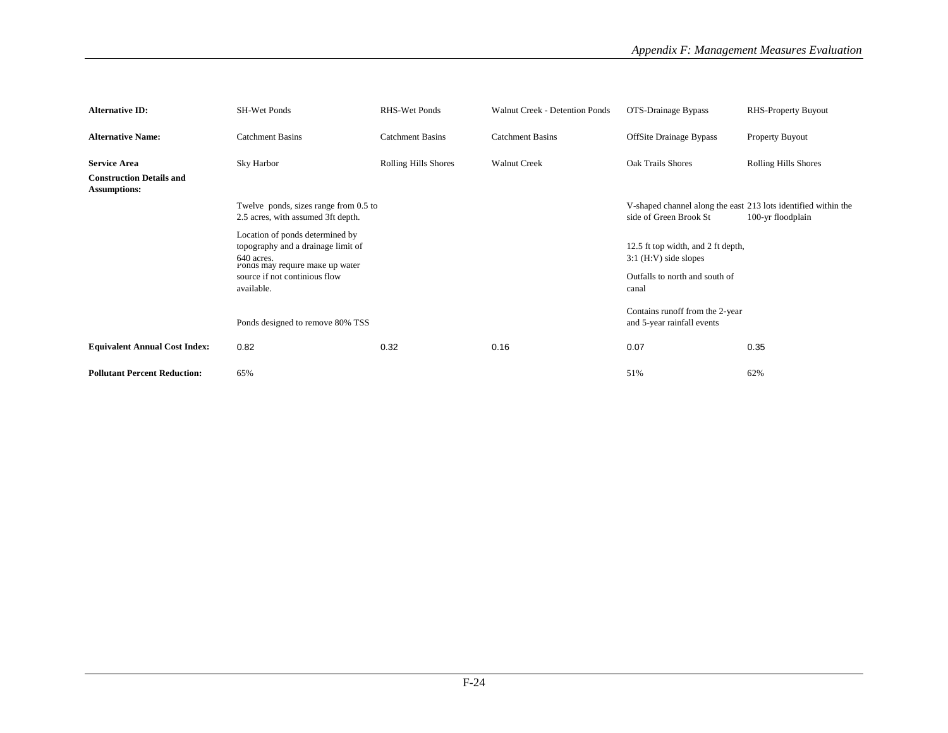| <b>Alternative ID:</b>                                 | SH-Wet Ponds                                                                                                           | <b>RHS-Wet Ponds</b>        | Walnut Creek - Detention Ponds | OTS-Drainage Bypass                                                                      | <b>RHS-Property Buyout</b> |
|--------------------------------------------------------|------------------------------------------------------------------------------------------------------------------------|-----------------------------|--------------------------------|------------------------------------------------------------------------------------------|----------------------------|
| <b>Alternative Name:</b>                               | <b>Catchment Basins</b>                                                                                                | <b>Catchment Basins</b>     | <b>Catchment Basins</b>        | <b>OffSite Drainage Bypass</b>                                                           | Property Buyout            |
| <b>Service Area</b>                                    | Sky Harbor                                                                                                             | <b>Rolling Hills Shores</b> | <b>Walnut Creek</b>            | Oak Trails Shores                                                                        | Rolling Hills Shores       |
| <b>Construction Details and</b><br><b>Assumptions:</b> |                                                                                                                        |                             |                                |                                                                                          |                            |
|                                                        | Twelve ponds, sizes range from 0.5 to<br>2.5 acres, with assumed 3ft depth.                                            |                             |                                | V-shaped channel along the east 213 lots identified within the<br>side of Green Brook St | 100-yr floodplain          |
|                                                        | Location of ponds determined by<br>topography and a drainage limit of<br>640 acres.<br>Ponds may require make up water |                             |                                | 12.5 ft top width, and 2 ft depth,<br>$3:1$ (H:V) side slopes                            |                            |
|                                                        | source if not continious flow<br>available.                                                                            |                             |                                | Outfalls to north and south of<br>canal                                                  |                            |
|                                                        | Ponds designed to remove 80% TSS                                                                                       |                             |                                | Contains runoff from the 2-year<br>and 5-year rainfall events                            |                            |
| <b>Equivalent Annual Cost Index:</b>                   | 0.82                                                                                                                   | 0.32                        | 0.16                           | 0.07                                                                                     | 0.35                       |
| <b>Pollutant Percent Reduction:</b>                    | 65%                                                                                                                    |                             |                                | 51%                                                                                      | 62%                        |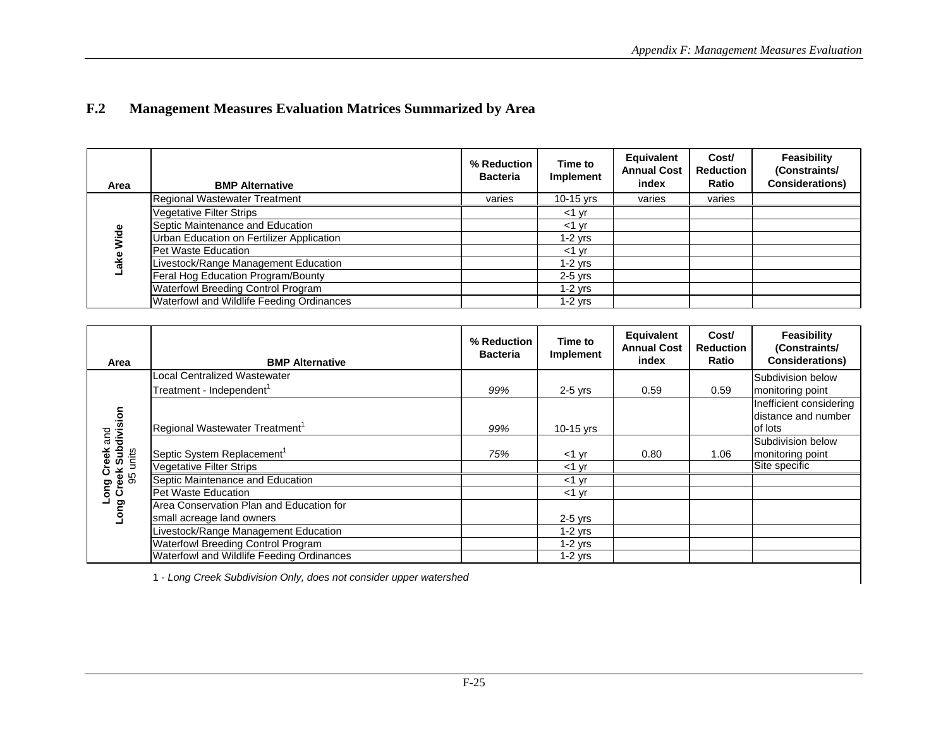## **F.2Management Measures Evaluation Matrices Summarized by Area**

| Area | <b>BMP Alternative</b>                    | % Reduction<br><b>Bacteria</b> | Time to<br>Implement | Equivalent<br><b>Annual Cost</b><br>index | Cost/<br><b>Reduction</b><br>Ratio | Feasibility<br>(Constraints/<br><b>Considerations)</b> |
|------|-------------------------------------------|--------------------------------|----------------------|-------------------------------------------|------------------------------------|--------------------------------------------------------|
|      | Regional Wastewater Treatment             | varies                         | $10-15$ yrs          | varies                                    | varies                             |                                                        |
|      | <b>Vegetative Filter Strips</b>           |                                | $<$ 1 $\vee$ r       |                                           |                                    |                                                        |
|      | Septic Maintenance and Education          |                                | $<$ 1 vr             |                                           |                                    |                                                        |
| Wide | Urban Education on Fertilizer Application |                                | $1-2$ yrs            |                                           |                                    |                                                        |
|      | Pet Waste Education                       |                                | $<$ 1 $\vee$ r       |                                           |                                    |                                                        |
|      | ivestock/Range Management Education       |                                | $1-2$ vrs            |                                           |                                    |                                                        |
|      | Feral Hog Education Program/Bounty        |                                | $2-5$ yrs            |                                           |                                    |                                                        |
|      | Waterfowl Breeding Control Program        |                                | $1-2$ yrs            |                                           |                                    |                                                        |
|      | Waterfowl and Wildlife Feeding Ordinances |                                | $1-2$ yrs            |                                           |                                    |                                                        |

| Area                                | <b>BMP Alternative</b>                     | % Reduction<br><b>Bacteria</b> | Time to<br>Implement | Equivalent<br><b>Annual Cost</b><br>index | Cost/<br><b>Reduction</b><br>Ratio | Feasibility<br>(Constraints/<br><b>Considerations)</b> |
|-------------------------------------|--------------------------------------------|--------------------------------|----------------------|-------------------------------------------|------------------------------------|--------------------------------------------------------|
|                                     | Local Centralized Wastewater               |                                |                      |                                           |                                    | Subdivision below                                      |
|                                     | Treatment - Independent <sup>1</sup>       | 99%                            | $2-5$ yrs            | 0.59                                      | 0.59                               | monitoring point                                       |
|                                     |                                            |                                |                      |                                           |                                    | Inefficient considering                                |
|                                     |                                            |                                |                      |                                           |                                    | distance and number                                    |
|                                     | Regional Wastewater Treatment <sup>1</sup> | 99%                            | 10-15 yrs            |                                           |                                    | lof lots                                               |
| k Subdivision<br>units<br>Creek and | Septic System Replacement <sup>1</sup>     | 75%                            | $<$ 1 yr             | 0.80                                      | 1.06                               | Subdivision below<br>monitoring point                  |
|                                     | <b>Vegetative Filter Strips</b>            |                                | $<$ 1 $\vee$ r       |                                           |                                    | Site specific                                          |
| Creek<br>95 u                       | Septic Maintenance and Education           |                                | $<$ 1 $\vee$ r       |                                           |                                    |                                                        |
| ទី<br>១                             | Pet Waste Education                        |                                | $<$ 1 yr             |                                           |                                    |                                                        |
| <b>guo</b>                          | Area Conservation Plan and Education for   |                                |                      |                                           |                                    |                                                        |
|                                     | small acreage land owners                  |                                | $2-5$ yrs            |                                           |                                    |                                                        |
|                                     | Livestock/Range Management Education       |                                | $1-2$ yrs            |                                           |                                    |                                                        |
|                                     | Waterfowl Breeding Control Program         |                                | $1-2$ yrs            |                                           |                                    |                                                        |
|                                     | Waterfowl and Wildlife Feeding Ordinances  |                                | $1-2$ yrs            |                                           |                                    |                                                        |

1 - Long Creek Subdivision Only, does not consider upper watershed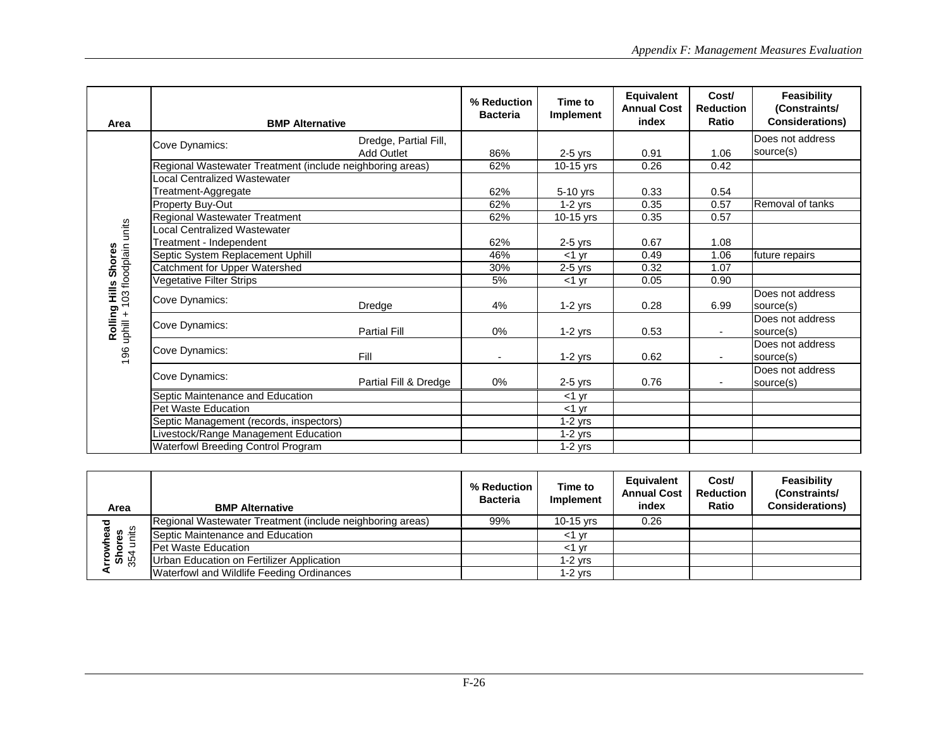| Area                                   | <b>BMP Alternative</b>                                    |                       | % Reduction<br><b>Bacteria</b> | Time to<br>Implement | Equivalent<br><b>Annual Cost</b><br>index | Cost/<br><b>Reduction</b><br>Ratio | <b>Feasibility</b><br>(Constraints/<br><b>Considerations)</b> |
|----------------------------------------|-----------------------------------------------------------|-----------------------|--------------------------------|----------------------|-------------------------------------------|------------------------------------|---------------------------------------------------------------|
|                                        |                                                           | Dredge, Partial Fill, |                                |                      |                                           |                                    | Does not address                                              |
|                                        | Cove Dynamics:                                            | <b>Add Outlet</b>     | 86%                            | $2-5$ yrs            | 0.91                                      | 1.06                               | source(s)                                                     |
|                                        | Regional Wastewater Treatment (include neighboring areas) |                       | 62%                            | 10-15 yrs            | 0.26                                      | 0.42                               |                                                               |
|                                        | ocal Centralized Wastewater                               |                       |                                |                      |                                           |                                    |                                                               |
|                                        | Treatment-Aggregate                                       |                       | 62%                            | 5-10 yrs             | 0.33                                      | 0.54                               |                                                               |
|                                        | <b>Property Buy-Out</b>                                   |                       | 62%                            | $1-2$ yrs            | 0.35                                      | 0.57                               | Removal of tanks                                              |
|                                        | <b>Regional Wastewater Treatment</b>                      |                       | 62%                            | 10-15 yrs            | 0.35                                      | 0.57                               |                                                               |
|                                        | ocal Centralized Wastewater                               |                       |                                |                      |                                           |                                    |                                                               |
|                                        | Treatment - Independent                                   |                       | 62%                            | $2-5$ yrs            | 0.67                                      | 1.08                               |                                                               |
| <b>Shores</b>                          | Septic System Replacement Uphill                          |                       | 46%                            | $<$ 1 vr             | 0.49                                      | 1.06                               | future repairs                                                |
|                                        | Catchment for Upper Watershed                             |                       | 30%                            | $2-5$ yrs            | 0.32                                      | 1.07                               |                                                               |
|                                        | Vegetative Filter Strips                                  |                       | 5%                             | $<$ 1 $\vee$ r       | 0.05                                      | 0.90                               |                                                               |
| 103 floodplain units                   | Cove Dynamics:                                            | Dredge                | 4%                             | $1-2$ yrs            | 0.28                                      | 6.99                               | Does not address<br>source(s)                                 |
| Rolling Hills<br>$\ddot{}$<br>uphill - | Cove Dynamics:                                            | <b>Partial Fill</b>   | 0%                             | $1-2$ yrs            | 0.53                                      | ٠                                  | Does not address<br>source(s)                                 |
| 196                                    | Cove Dynamics:                                            | Fill                  |                                | $1-2$ yrs            | 0.62                                      |                                    | Does not address<br>source(s)                                 |
|                                        | Cove Dynamics:                                            | Partial Fill & Dredge | 0%                             | $2-5$ yrs            | 0.76                                      |                                    | Does not address<br>source(s)                                 |
|                                        | Septic Maintenance and Education                          |                       |                                | $<$ 1 yr             |                                           |                                    |                                                               |
|                                        | Pet Waste Education                                       |                       |                                | $<$ 1 $yr$           |                                           |                                    |                                                               |
|                                        | Septic Management (records, inspectors)                   |                       |                                | $1-2$ yrs            |                                           |                                    |                                                               |
|                                        | ivestock/Range Management Education                       |                       |                                | $1-2$ yrs            |                                           |                                    |                                                               |
|                                        | Waterfowl Breeding Control Program                        |                       |                                | $1-2$ yrs            |                                           |                                    |                                                               |

| Area                                   | <b>BMP Alternative</b>                                    | % Reduction<br><b>Bacteria</b> | Time to<br>Implement | Equivalent<br><b>Annual Cost</b><br>index | Cost/<br><b>Reduction</b><br>Ratio | Feasibility<br>(Constraints/<br><b>Considerations)</b> |
|----------------------------------------|-----------------------------------------------------------|--------------------------------|----------------------|-------------------------------------------|------------------------------------|--------------------------------------------------------|
|                                        | Regional Wastewater Treatment (include neighboring areas) | 99%                            | 10-15 yrs            | 0.26                                      |                                    |                                                        |
| <b>krowhead</b><br>Shores<br>354 units | Septic Maintenance and Education                          |                                | ≺1 vr                |                                           |                                    |                                                        |
|                                        | <b>Pet Waste Education</b>                                |                                | $<$ 1 vr             |                                           |                                    |                                                        |
|                                        | Urban Education on Fertilizer Application                 |                                | 1-2 vrs              |                                           |                                    |                                                        |
|                                        | Waterfowl and Wildlife Feeding Ordinances                 |                                | 1-2 vrs              |                                           |                                    |                                                        |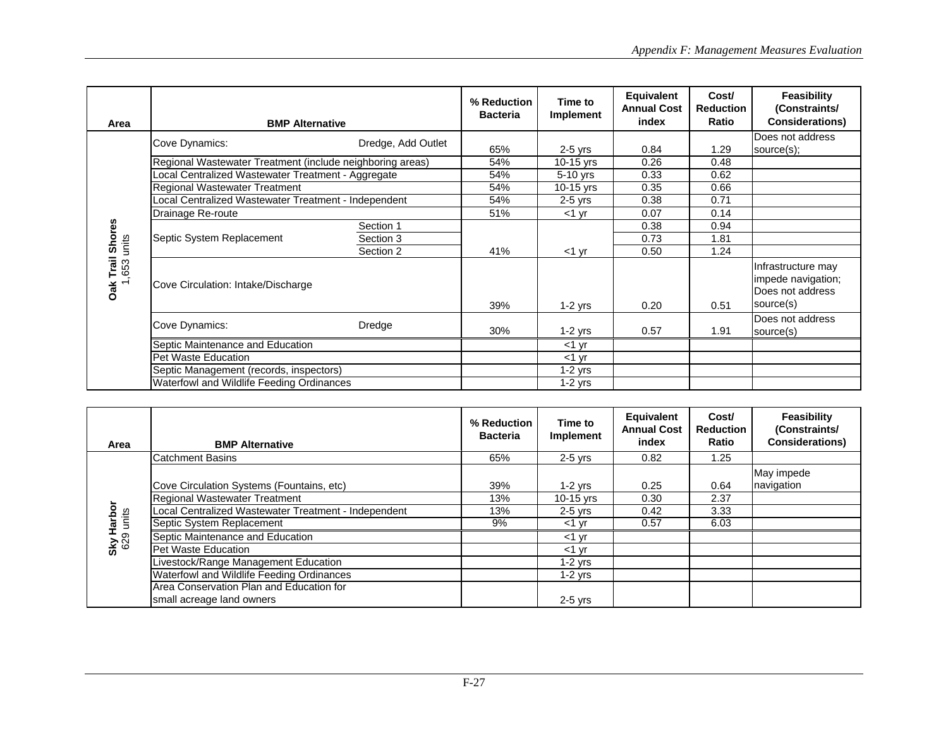| Area                        | <b>BMP Alternative</b>                                    |                    | % Reduction<br><b>Bacteria</b> | Time to<br>Implement | Equivalent<br><b>Annual Cost</b><br>index | Cost/<br><b>Reduction</b><br>Ratio | Feasibility<br>(Constraints/<br><b>Considerations)</b>                    |
|-----------------------------|-----------------------------------------------------------|--------------------|--------------------------------|----------------------|-------------------------------------------|------------------------------------|---------------------------------------------------------------------------|
|                             | Cove Dynamics:                                            | Dredge, Add Outlet |                                |                      |                                           |                                    | Does not address                                                          |
|                             |                                                           |                    | 65%                            | $2-5$ yrs            | 0.84                                      | 1.29                               | source(s);                                                                |
|                             | Regional Wastewater Treatment (include neighboring areas) |                    | 54%                            | 10-15 $yrs$          | 0.26                                      | 0.48                               |                                                                           |
|                             | ocal Centralized Wastewater Treatment - Aggregate         |                    | 54%                            | $5-10$ yrs           | 0.33                                      | 0.62                               |                                                                           |
|                             | <b>Regional Wastewater Treatment</b>                      |                    | 54%                            | 10-15 yrs            | 0.35                                      | 0.66                               |                                                                           |
|                             | -ocal Centralized Wastewater Treatment - Independent      |                    | 54%                            | $2-5$ yrs            | 0.38                                      | 0.71                               |                                                                           |
|                             | Drainage Re-route                                         |                    | 51%                            | <1 yr                | 0.07                                      | 0.14                               |                                                                           |
|                             | Septic System Replacement                                 | Section 1          |                                |                      | 0.38                                      | 0.94                               |                                                                           |
|                             |                                                           | Section 3          |                                |                      | 0.73                                      | 1.81                               |                                                                           |
| units                       |                                                           | Section 2          | 41%                            | $<$ 1 yr             | 0.50                                      | 1.24                               |                                                                           |
| Trail Shores<br>,653<br>Oak | Cove Circulation: Intake/Discharge                        |                    | 39%                            | $1-2$ yrs            | 0.20                                      | 0.51                               | Infrastructure may<br>impede navigation;<br>Does not address<br>source(s) |
|                             | Cove Dynamics:                                            | Dredge             | 30%                            | $1-2$ yrs            | 0.57                                      | 1.91                               | Does not address<br>source(s)                                             |
|                             | Septic Maintenance and Education                          |                    |                                | $<$ 1 yr             |                                           |                                    |                                                                           |
|                             | Pet Waste Education                                       |                    |                                | $<$ 1 $\vee$ r       |                                           |                                    |                                                                           |
|                             | Septic Management (records, inspectors)                   |                    |                                | $1-2$ yrs            |                                           |                                    |                                                                           |
|                             | Waterfowl and Wildlife Feeding Ordinances                 |                    |                                | $1-2$ yrs            |                                           |                                    |                                                                           |

| Area                    | <b>BMP Alternative</b>                               | % Reduction<br><b>Bacteria</b> | Time to<br>Implement | <b>Equivalent</b><br><b>Annual Cost</b><br>index | Cost/<br><b>Reduction</b><br>Ratio | Feasibility<br>(Constraints/<br><b>Considerations)</b> |
|-------------------------|------------------------------------------------------|--------------------------------|----------------------|--------------------------------------------------|------------------------------------|--------------------------------------------------------|
|                         | <b>Catchment Basins</b>                              | 65%                            | $2-5$ yrs            | 0.82                                             | 1.25                               |                                                        |
|                         |                                                      |                                |                      |                                                  |                                    | May impede                                             |
|                         | Cove Circulation Systems (Fountains, etc)            | 39%                            | $1-2$ yrs            | 0.25                                             | 0.64                               | navigation                                             |
|                         | Regional Wastewater Treatment                        | 13%                            | 10-15 yrs            | 0.30                                             | 2.37                               |                                                        |
| Sky Harbor<br>629 units | Local Centralized Wastewater Treatment - Independent | 13%                            | $2-5$ yrs            | 0.42                                             | 3.33                               |                                                        |
|                         | Septic System Replacement                            | 9%                             | $<$ 1 $\vee$ r       | 0.57                                             | 6.03                               |                                                        |
|                         | Septic Maintenance and Education                     |                                | $<$ 1 $\vee$ r       |                                                  |                                    |                                                        |
|                         | Pet Waste Education                                  |                                | $<$ 1 $\vee$ r       |                                                  |                                    |                                                        |
|                         | ivestock/Range Management Education                  |                                | $1-2$ yrs            |                                                  |                                    |                                                        |
|                         | <b>Waterfowl and Wildlife Feeding Ordinances</b>     |                                | $1-2$ yrs            |                                                  |                                    |                                                        |
|                         | Area Conservation Plan and Education for             |                                |                      |                                                  |                                    |                                                        |
|                         | small acreage land owners                            |                                | $2-5$ yrs            |                                                  |                                    |                                                        |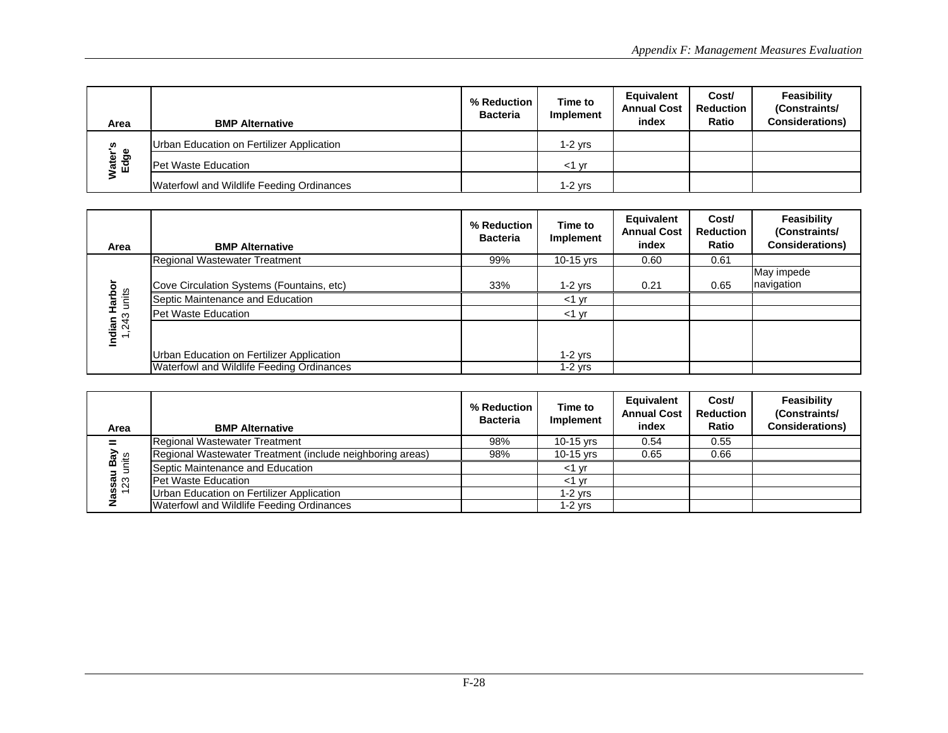| Area                   | <b>BMP Alternative</b>                    | % Reduction<br><b>Bacteria</b> | Time to<br>Implement | Equivalent<br><b>Annual Cost</b><br>index | Cost/<br><b>Reduction</b><br>Ratio | Feasibility<br>(Constraints/<br><b>Considerations)</b> |
|------------------------|-------------------------------------------|--------------------------------|----------------------|-------------------------------------------|------------------------------------|--------------------------------------------------------|
| n                      | Urban Education on Fertilizer Application |                                | 1-2 vrs              |                                           |                                    |                                                        |
| த<br>ater <sup>1</sup> | <b>Pet Waste Education</b>                |                                | ≺1 ∨r                |                                           |                                    |                                                        |
|                        | Waterfowl and Wildlife Feeding Ordinances |                                | $1-2$ vrs            |                                           |                                    |                                                        |

| Area                                    | <b>BMP Alternative</b>                    | % Reduction<br><b>Bacteria</b> | Time to<br>Implement | Equivalent<br><b>Annual Cost</b><br>index | Cost/<br><b>Reduction</b><br>Ratio | Feasibility<br>(Constraints/<br><b>Considerations)</b> |
|-----------------------------------------|-------------------------------------------|--------------------------------|----------------------|-------------------------------------------|------------------------------------|--------------------------------------------------------|
|                                         | Regional Wastewater Treatment             | 99%                            | $10-15$ yrs          | 0.60                                      | 0.61                               |                                                        |
|                                         |                                           |                                |                      |                                           |                                    | May impede                                             |
| ă                                       | Cove Circulation Systems (Fountains, etc) | 33%                            | 1-2 yrs              | 0.21                                      | 0.65                               | navigation                                             |
| units<br>Harb<br>H                      | Septic Maintenance and Education          |                                | $<$ 1 $\vee$ r       |                                           |                                    |                                                        |
| ო<br>$\overline{4}$                     | <b>Pet Waste Education</b>                |                                | $<$ 1 $\vee$ r       |                                           |                                    |                                                        |
| Indian<br>ų<br>$\overline{\phantom{0}}$ |                                           |                                |                      |                                           |                                    |                                                        |
|                                         | Urban Education on Fertilizer Application |                                | 1-2 yrs              |                                           |                                    |                                                        |
|                                         | Waterfowl and Wildlife Feeding Ordinances |                                | 1-2 vrs              |                                           |                                    |                                                        |

| Area                          | <b>BMP Alternative</b>                                    | % Reduction<br><b>Bacteria</b> | Time to<br>Implement | Equivalent<br><b>Annual Cost</b><br>index | Cost/<br><b>Reduction</b><br>Ratio | Feasibility<br>(Constraints/<br><b>Considerations)</b> |
|-------------------------------|-----------------------------------------------------------|--------------------------------|----------------------|-------------------------------------------|------------------------------------|--------------------------------------------------------|
|                               | Regional Wastewater Treatment                             | 98%                            | $10-15$ yrs          | 0.54                                      | 0.55                               |                                                        |
| $\mathsf{B} \mathsf{a}$<br>£≑ | Regional Wastewater Treatment (include neighboring areas) | 98%                            | $10-15$ yrs          | 0.65                                      | 0.66                               |                                                        |
|                               | Septic Maintenance and Education                          |                                | vr<br>- < 1          |                                           |                                    |                                                        |
| Nassau<br>123 u               | <b>Pet Waste Education</b>                                |                                | $<$ 1 vr             |                                           |                                    |                                                        |
|                               | Urban Education on Fertilizer Application                 |                                | $1-2$ yrs            |                                           |                                    |                                                        |
|                               | Waterfowl and Wildlife Feeding Ordinances                 |                                | $1-2$ yrs            |                                           |                                    |                                                        |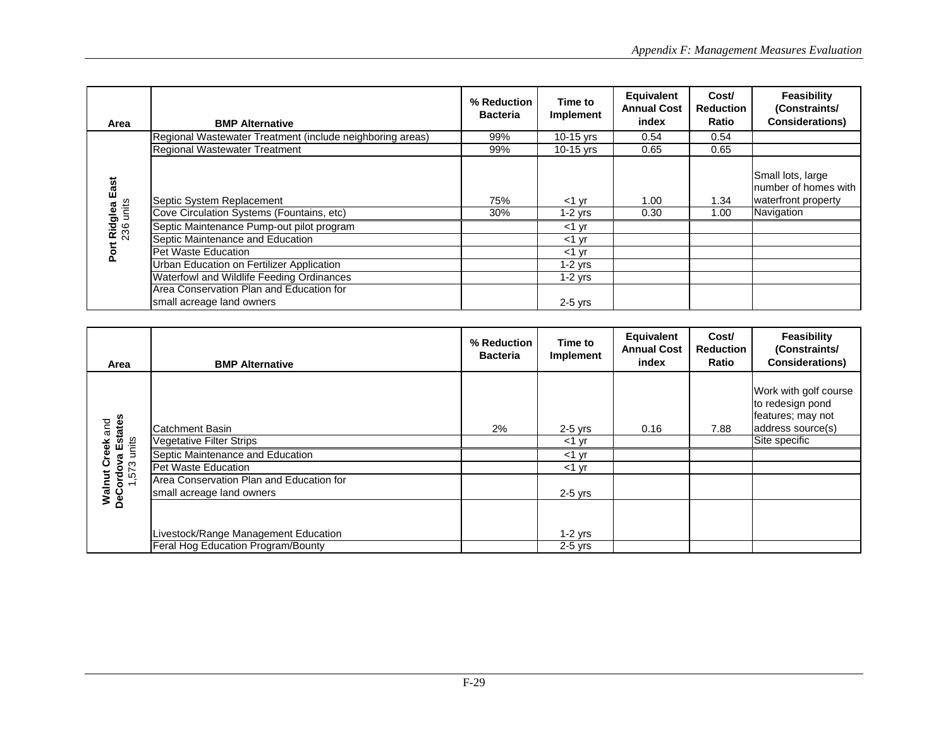| Area                        | <b>BMP Alternative</b>                                    | % Reduction<br><b>Bacteria</b> | Time to<br>Implement | Equivalent<br><b>Annual Cost</b><br>index | Cost/<br><b>Reduction</b><br>Ratio | Feasibility<br>(Constraints/<br><b>Considerations)</b>            |
|-----------------------------|-----------------------------------------------------------|--------------------------------|----------------------|-------------------------------------------|------------------------------------|-------------------------------------------------------------------|
|                             | Regional Wastewater Treatment (include neighboring areas) | 99%                            | 10-15 yrs            | 0.54                                      | 0.54                               |                                                                   |
|                             | <b>Regional Wastewater Treatment</b>                      | 99%                            | $10-15$ yrs          | 0.65                                      | 0.65                               |                                                                   |
| t Ridglea East<br>236 units | Septic System Replacement                                 | 75%                            | $<$ 1 $\vee$ r       | 1.00                                      | 1.34                               | Small lots, large<br>Inumber of homes with<br>waterfront property |
| units                       | Cove Circulation Systems (Fountains, etc)                 | 30%                            | $1-2$ yrs            | 0.30                                      | 1.00                               | Navigation                                                        |
|                             | Septic Maintenance Pump-out pilot program                 |                                | $<$ 1 $\vee$ r       |                                           |                                    |                                                                   |
|                             | Septic Maintenance and Education                          |                                | $<$ 1 $\vee$ r       |                                           |                                    |                                                                   |
| Port                        | Pet Waste Education                                       |                                | $<$ 1 $\vee$ r       |                                           |                                    |                                                                   |
|                             | Urban Education on Fertilizer Application                 |                                | $1-2$ yrs            |                                           |                                    |                                                                   |
|                             | Waterfowl and Wildlife Feeding Ordinances                 |                                | $1-2$ yrs            |                                           |                                    |                                                                   |
|                             | Area Conservation Plan and Education for                  |                                |                      |                                           |                                    |                                                                   |
|                             | small acreage land owners                                 |                                | $2-5$ yrs            |                                           |                                    |                                                                   |

| Area                                                 | <b>BMP Alternative</b>                                                | % Reduction<br><b>Bacteria</b> | Time to<br>Implement | Equivalent<br><b>Annual Cost</b><br>index | Cost/<br><b>Reduction</b><br>Ratio | Feasibility<br>(Constraints/<br><b>Considerations)</b>                              |
|------------------------------------------------------|-----------------------------------------------------------------------|--------------------------------|----------------------|-------------------------------------------|------------------------------------|-------------------------------------------------------------------------------------|
| Walnut Creek and<br>DeCordova Estates<br>1,573 units | <b>ICatchment Basin</b>                                               | $2\%$                          | $2-5$ yrs            | 0.16                                      | 7.88                               | Work with golf course<br>to redesign pond<br>features; may not<br>address source(s) |
|                                                      | <b>Vegetative Filter Strips</b>                                       |                                | $<$ 1 $\vee$ r       |                                           |                                    | Site specific                                                                       |
|                                                      | Septic Maintenance and Education                                      |                                | $<$ 1 $\vee$ r       |                                           |                                    |                                                                                     |
|                                                      | <b>Pet Waste Education</b>                                            |                                | $<$ 1 $\vee$ r       |                                           |                                    |                                                                                     |
|                                                      | Area Conservation Plan and Education for<br>small acreage land owners |                                | $2-5$ yrs            |                                           |                                    |                                                                                     |
|                                                      | Livestock/Range Management Education                                  |                                | $1-2$ yrs            |                                           |                                    |                                                                                     |
|                                                      | Feral Hog Education Program/Bounty                                    |                                | $2-5$ yrs            |                                           |                                    |                                                                                     |